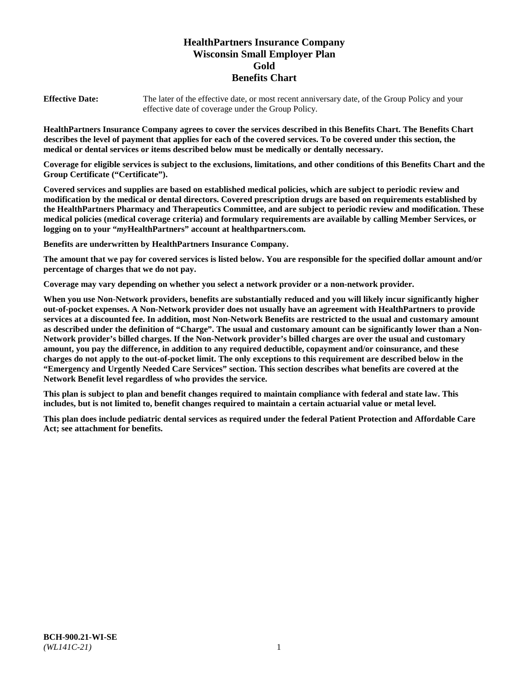# **HealthPartners Insurance Company Wisconsin Small Employer Plan Gold Benefits Chart**

**Effective Date:** The later of the effective date, or most recent anniversary date, of the Group Policy and your effective date of coverage under the Group Policy.

**HealthPartners Insurance Company agrees to cover the services described in this Benefits Chart. The Benefits Chart describes the level of payment that applies for each of the covered services. To be covered under this section, the medical or dental services or items described below must be medically or dentally necessary.**

**Coverage for eligible services is subject to the exclusions, limitations, and other conditions of this Benefits Chart and the Group Certificate ("Certificate").**

**Covered services and supplies are based on established medical policies, which are subject to periodic review and modification by the medical or dental directors. Covered prescription drugs are based on requirements established by the HealthPartners Pharmacy and Therapeutics Committee, and are subject to periodic review and modification. These medical policies (medical coverage criteria) and formulary requirements are available by calling Member Services, or logging on to your "***my***HealthPartners" account at [healthpartners.com.](https://www.healthpartners.com/hp/index.html)**

**Benefits are underwritten by HealthPartners Insurance Company.**

**The amount that we pay for covered services is listed below. You are responsible for the specified dollar amount and/or percentage of charges that we do not pay.**

**Coverage may vary depending on whether you select a network provider or a non-network provider.**

**When you use Non-Network providers, benefits are substantially reduced and you will likely incur significantly higher out-of-pocket expenses. A Non-Network provider does not usually have an agreement with HealthPartners to provide services at a discounted fee. In addition, most Non-Network Benefits are restricted to the usual and customary amount as described under the definition of "Charge". The usual and customary amount can be significantly lower than a Non-Network provider's billed charges. If the Non-Network provider's billed charges are over the usual and customary amount, you pay the difference, in addition to any required deductible, copayment and/or coinsurance, and these charges do not apply to the out-of-pocket limit. The only exceptions to this requirement are described below in the "Emergency and Urgently Needed Care Services" section. This section describes what benefits are covered at the Network Benefit level regardless of who provides the service.**

**This plan is subject to plan and benefit changes required to maintain compliance with federal and state law. This includes, but is not limited to, benefit changes required to maintain a certain actuarial value or metal level.**

**This plan does include pediatric dental services as required under the federal Patient Protection and Affordable Care Act; see attachment for benefits.**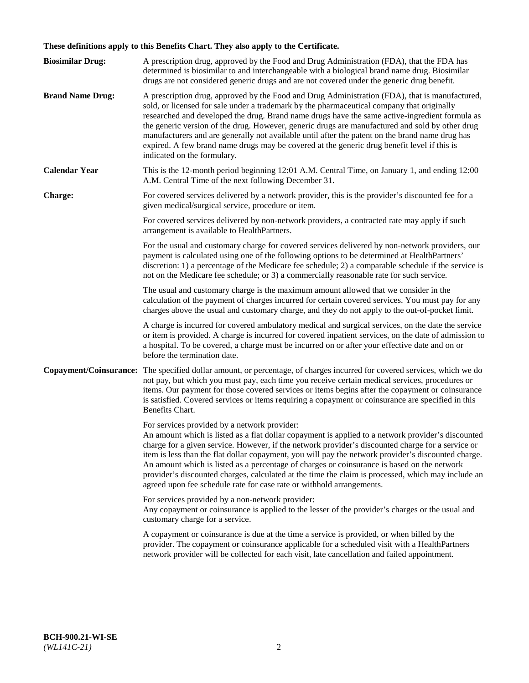# **These definitions apply to this Benefits Chart. They also apply to the Certificate.**

| <b>Biosimilar Drug:</b> | A prescription drug, approved by the Food and Drug Administration (FDA), that the FDA has<br>determined is biosimilar to and interchangeable with a biological brand name drug. Biosimilar<br>drugs are not considered generic drugs and are not covered under the generic drug benefit.                                                                                                                                                                                                                                                                                                                                                     |
|-------------------------|----------------------------------------------------------------------------------------------------------------------------------------------------------------------------------------------------------------------------------------------------------------------------------------------------------------------------------------------------------------------------------------------------------------------------------------------------------------------------------------------------------------------------------------------------------------------------------------------------------------------------------------------|
| <b>Brand Name Drug:</b> | A prescription drug, approved by the Food and Drug Administration (FDA), that is manufactured,<br>sold, or licensed for sale under a trademark by the pharmaceutical company that originally<br>researched and developed the drug. Brand name drugs have the same active-ingredient formula as<br>the generic version of the drug. However, generic drugs are manufactured and sold by other drug<br>manufacturers and are generally not available until after the patent on the brand name drug has<br>expired. A few brand name drugs may be covered at the generic drug benefit level if this is<br>indicated on the formulary.           |
| <b>Calendar Year</b>    | This is the 12-month period beginning 12:01 A.M. Central Time, on January 1, and ending 12:00<br>A.M. Central Time of the next following December 31.                                                                                                                                                                                                                                                                                                                                                                                                                                                                                        |
| <b>Charge:</b>          | For covered services delivered by a network provider, this is the provider's discounted fee for a<br>given medical/surgical service, procedure or item.                                                                                                                                                                                                                                                                                                                                                                                                                                                                                      |
|                         | For covered services delivered by non-network providers, a contracted rate may apply if such<br>arrangement is available to HealthPartners.                                                                                                                                                                                                                                                                                                                                                                                                                                                                                                  |
|                         | For the usual and customary charge for covered services delivered by non-network providers, our<br>payment is calculated using one of the following options to be determined at HealthPartners'<br>discretion: 1) a percentage of the Medicare fee schedule; 2) a comparable schedule if the service is<br>not on the Medicare fee schedule; or 3) a commercially reasonable rate for such service.                                                                                                                                                                                                                                          |
|                         | The usual and customary charge is the maximum amount allowed that we consider in the<br>calculation of the payment of charges incurred for certain covered services. You must pay for any<br>charges above the usual and customary charge, and they do not apply to the out-of-pocket limit.                                                                                                                                                                                                                                                                                                                                                 |
|                         | A charge is incurred for covered ambulatory medical and surgical services, on the date the service<br>or item is provided. A charge is incurred for covered inpatient services, on the date of admission to<br>a hospital. To be covered, a charge must be incurred on or after your effective date and on or<br>before the termination date.                                                                                                                                                                                                                                                                                                |
| Copayment/Coinsurance:  | The specified dollar amount, or percentage, of charges incurred for covered services, which we do<br>not pay, but which you must pay, each time you receive certain medical services, procedures or<br>items. Our payment for those covered services or items begins after the copayment or coinsurance<br>is satisfied. Covered services or items requiring a copayment or coinsurance are specified in this<br>Benefits Chart.                                                                                                                                                                                                             |
|                         | For services provided by a network provider:<br>An amount which is listed as a flat dollar copayment is applied to a network provider's discounted<br>charge for a given service. However, if the network provider's discounted charge for a service or<br>item is less than the flat dollar copayment, you will pay the network provider's discounted charge.<br>An amount which is listed as a percentage of charges or coinsurance is based on the network<br>provider's discounted charges, calculated at the time the claim is processed, which may include an<br>agreed upon fee schedule rate for case rate or withhold arrangements. |
|                         | For services provided by a non-network provider:<br>Any copayment or coinsurance is applied to the lesser of the provider's charges or the usual and<br>customary charge for a service.                                                                                                                                                                                                                                                                                                                                                                                                                                                      |
|                         | A copayment or coinsurance is due at the time a service is provided, or when billed by the<br>provider. The copayment or coinsurance applicable for a scheduled visit with a HealthPartners<br>network provider will be collected for each visit, late cancellation and failed appointment.                                                                                                                                                                                                                                                                                                                                                  |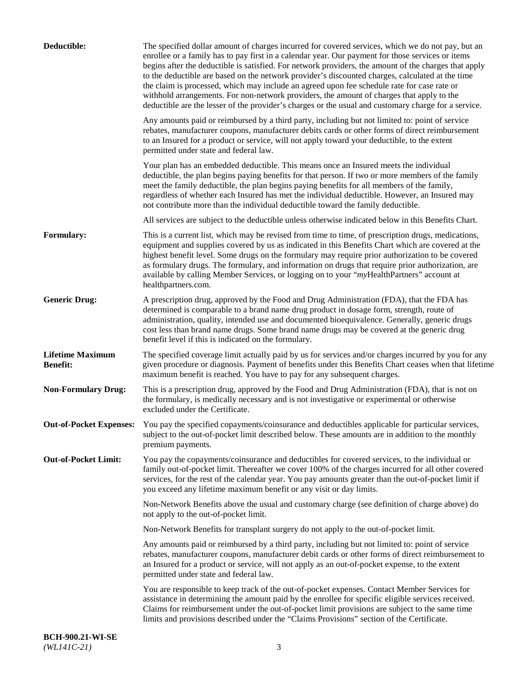| Deductible:                                | The specified dollar amount of charges incurred for covered services, which we do not pay, but an<br>enrollee or a family has to pay first in a calendar year. Our payment for those services or items<br>begins after the deductible is satisfied. For network providers, the amount of the charges that apply<br>to the deductible are based on the network provider's discounted charges, calculated at the time<br>the claim is processed, which may include an agreed upon fee schedule rate for case rate or<br>withhold arrangements. For non-network providers, the amount of charges that apply to the<br>deductible are the lesser of the provider's charges or the usual and customary charge for a service. |
|--------------------------------------------|-------------------------------------------------------------------------------------------------------------------------------------------------------------------------------------------------------------------------------------------------------------------------------------------------------------------------------------------------------------------------------------------------------------------------------------------------------------------------------------------------------------------------------------------------------------------------------------------------------------------------------------------------------------------------------------------------------------------------|
|                                            | Any amounts paid or reimbursed by a third party, including but not limited to: point of service<br>rebates, manufacturer coupons, manufacturer debits cards or other forms of direct reimbursement<br>to an Insured for a product or service, will not apply toward your deductible, to the extent<br>permitted under state and federal law.                                                                                                                                                                                                                                                                                                                                                                            |
|                                            | Your plan has an embedded deductible. This means once an Insured meets the individual<br>deductible, the plan begins paying benefits for that person. If two or more members of the family<br>meet the family deductible, the plan begins paying benefits for all members of the family,<br>regardless of whether each Insured has met the individual deductible. However, an Insured may<br>not contribute more than the individual deductible toward the family deductible.                                                                                                                                                                                                                                           |
|                                            | All services are subject to the deductible unless otherwise indicated below in this Benefits Chart.                                                                                                                                                                                                                                                                                                                                                                                                                                                                                                                                                                                                                     |
| <b>Formulary:</b>                          | This is a current list, which may be revised from time to time, of prescription drugs, medications,<br>equipment and supplies covered by us as indicated in this Benefits Chart which are covered at the<br>highest benefit level. Some drugs on the formulary may require prior authorization to be covered<br>as formulary drugs. The formulary, and information on drugs that require prior authorization, are<br>available by calling Member Services, or logging on to your "myHealthPartners" account at<br>healthpartners.com.                                                                                                                                                                                   |
| <b>Generic Drug:</b>                       | A prescription drug, approved by the Food and Drug Administration (FDA), that the FDA has<br>determined is comparable to a brand name drug product in dosage form, strength, route of<br>administration, quality, intended use and documented bioequivalence. Generally, generic drugs<br>cost less than brand name drugs. Some brand name drugs may be covered at the generic drug<br>benefit level if this is indicated on the formulary.                                                                                                                                                                                                                                                                             |
| <b>Lifetime Maximum</b><br><b>Benefit:</b> | The specified coverage limit actually paid by us for services and/or charges incurred by you for any<br>given procedure or diagnosis. Payment of benefits under this Benefits Chart ceases when that lifetime<br>maximum benefit is reached. You have to pay for any subsequent charges.                                                                                                                                                                                                                                                                                                                                                                                                                                |
| <b>Non-Formulary Drug:</b>                 | This is a prescription drug, approved by the Food and Drug Administration (FDA), that is not on<br>the formulary, is medically necessary and is not investigative or experimental or otherwise<br>excluded under the Certificate.                                                                                                                                                                                                                                                                                                                                                                                                                                                                                       |
|                                            | Out-of-Pocket Expenses: You pay the specified copayments/coinsurance and deductibles applicable for particular services,<br>subject to the out-of-pocket limit described below. These amounts are in addition to the monthly<br>premium payments.                                                                                                                                                                                                                                                                                                                                                                                                                                                                       |
| <b>Out-of-Pocket Limit:</b>                | You pay the copayments/coinsurance and deductibles for covered services, to the individual or<br>family out-of-pocket limit. Thereafter we cover 100% of the charges incurred for all other covered<br>services, for the rest of the calendar year. You pay amounts greater than the out-of-pocket limit if<br>you exceed any lifetime maximum benefit or any visit or day limits.                                                                                                                                                                                                                                                                                                                                      |
|                                            | Non-Network Benefits above the usual and customary charge (see definition of charge above) do<br>not apply to the out-of-pocket limit.                                                                                                                                                                                                                                                                                                                                                                                                                                                                                                                                                                                  |
|                                            | Non-Network Benefits for transplant surgery do not apply to the out-of-pocket limit.                                                                                                                                                                                                                                                                                                                                                                                                                                                                                                                                                                                                                                    |
|                                            | Any amounts paid or reimbursed by a third party, including but not limited to: point of service<br>rebates, manufacturer coupons, manufacturer debit cards or other forms of direct reimbursement to<br>an Insured for a product or service, will not apply as an out-of-pocket expense, to the extent<br>permitted under state and federal law.                                                                                                                                                                                                                                                                                                                                                                        |
|                                            | You are responsible to keep track of the out-of-pocket expenses. Contact Member Services for<br>assistance in determining the amount paid by the enrollee for specific eligible services received.<br>Claims for reimbursement under the out-of-pocket limit provisions are subject to the same time<br>limits and provisions described under the "Claims Provisions" section of the Certificate.                                                                                                                                                                                                                                                                                                                       |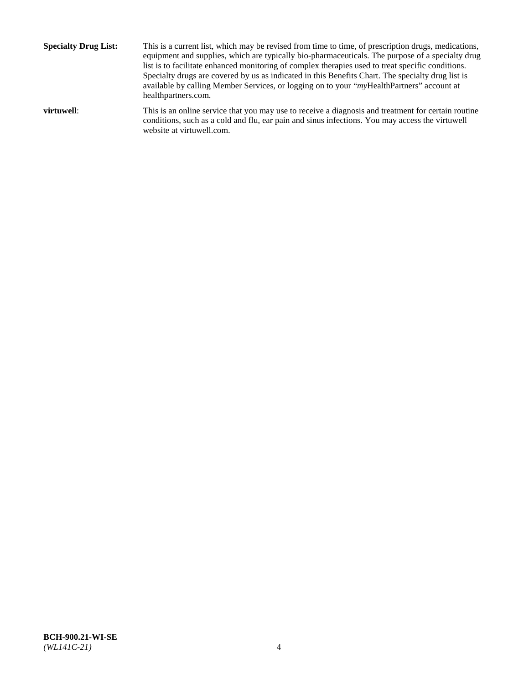**Specialty Drug List:** This is a current list, which may be revised from time to time, of prescription drugs, medications, equipment and supplies, which are typically bio-pharmaceuticals. The purpose of a specialty drug list is to facilitate enhanced monitoring of complex therapies used to treat specific conditions. Specialty drugs are covered by us as indicated in this Benefits Chart. The specialty drug list is available by calling Member Services, or logging on to your "*my*HealthPartners" account at [healthpartners.com.](http://www.healthpartners.com/) **virtuwell:** This is an online service that you may use to receive a diagnosis and treatment for certain routine conditions, such as a cold and flu, ear pain and sinus infections. You may access the virtuwell

website at [virtuwell.com.](http://www.virtuwell.com/)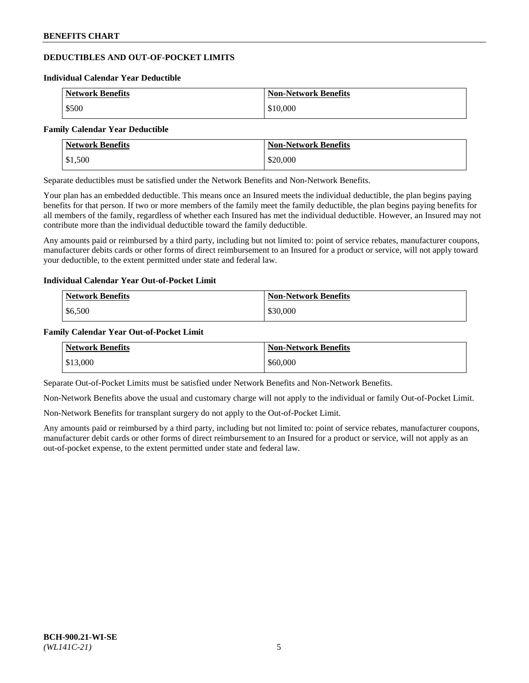## **DEDUCTIBLES AND OUT-OF-POCKET LIMITS**

#### **Individual Calendar Year Deductible**

| <b>Network Benefits</b> | <b>Non-Network Benefits</b> |
|-------------------------|-----------------------------|
| \$500                   | \$10,000                    |

#### **Family Calendar Year Deductible**

| Network Benefits | <b>Non-Network Benefits</b> |
|------------------|-----------------------------|
| \$1,500          | \$20,000                    |

Separate deductibles must be satisfied under the Network Benefits and Non-Network Benefits.

Your plan has an embedded deductible. This means once an Insured meets the individual deductible, the plan begins paying benefits for that person. If two or more members of the family meet the family deductible, the plan begins paying benefits for all members of the family, regardless of whether each Insured has met the individual deductible. However, an Insured may not contribute more than the individual deductible toward the family deductible.

Any amounts paid or reimbursed by a third party, including but not limited to: point of service rebates, manufacturer coupons, manufacturer debits cards or other forms of direct reimbursement to an Insured for a product or service, will not apply toward your deductible, to the extent permitted under state and federal law.

## **Individual Calendar Year Out-of-Pocket Limit**

| <b>Network Benefits</b> | <b>Non-Network Benefits</b> |
|-------------------------|-----------------------------|
| \$6,500                 | \$30,000                    |

## **Family Calendar Year Out-of-Pocket Limit**

| <b>Network Benefits</b> | <b>Non-Network Benefits</b> |
|-------------------------|-----------------------------|
| \$13,000                | \$60,000                    |

Separate Out-of-Pocket Limits must be satisfied under Network Benefits and Non-Network Benefits.

Non-Network Benefits above the usual and customary charge will not apply to the individual or family Out-of-Pocket Limit.

Non-Network Benefits for transplant surgery do not apply to the Out-of-Pocket Limit.

Any amounts paid or reimbursed by a third party, including but not limited to: point of service rebates, manufacturer coupons, manufacturer debit cards or other forms of direct reimbursement to an Insured for a product or service, will not apply as an out-of-pocket expense, to the extent permitted under state and federal law.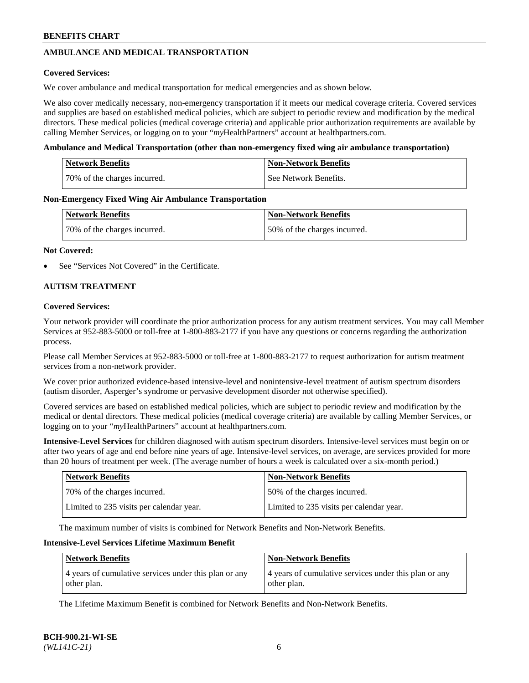## **AMBULANCE AND MEDICAL TRANSPORTATION**

### **Covered Services:**

We cover ambulance and medical transportation for medical emergencies and as shown below.

We also cover medically necessary, non-emergency transportation if it meets our medical coverage criteria. Covered services and supplies are based on established medical policies, which are subject to periodic review and modification by the medical directors. These medical policies (medical coverage criteria) and applicable prior authorization requirements are available by calling Member Services, or logging on to your "*my*HealthPartners" account a[t healthpartners.com.](https://www.healthpartners.com/hp/index.html)

### **Ambulance and Medical Transportation (other than non-emergency fixed wing air ambulance transportation)**

| <b>Network Benefits</b>      | <b>Non-Network Benefits</b> |
|------------------------------|-----------------------------|
| 70% of the charges incurred. | See Network Benefits.       |

### **Non-Emergency Fixed Wing Air Ambulance Transportation**

| <b>Network Benefits</b>      | <b>Non-Network Benefits</b>  |
|------------------------------|------------------------------|
| 70% of the charges incurred. | 50% of the charges incurred. |

### **Not Covered:**

See "Services Not Covered" in the Certificate.

## **AUTISM TREATMENT**

### **Covered Services:**

Your network provider will coordinate the prior authorization process for any autism treatment services. You may call Member Services at 952-883-5000 or toll-free at 1-800-883-2177 if you have any questions or concerns regarding the authorization process.

Please call Member Services at 952-883-5000 or toll-free at 1-800-883-2177 to request authorization for autism treatment services from a non-network provider.

We cover prior authorized evidence-based intensive-level and nonintensive-level treatment of autism spectrum disorders (autism disorder, Asperger's syndrome or pervasive development disorder not otherwise specified).

Covered services are based on established medical policies, which are subject to periodic review and modification by the medical or dental directors. These medical policies (medical coverage criteria) are available by calling Member Services, or logging on to your "*my*HealthPartners" account at [healthpartners.com.](https://www.healthpartners.com/hp/index.html)

**Intensive-Level Services** for children diagnosed with autism spectrum disorders. Intensive-level services must begin on or after two years of age and end before nine years of age. Intensive-level services, on average, are services provided for more than 20 hours of treatment per week. (The average number of hours a week is calculated over a six-month period.)

| Network Benefits                         | <b>Non-Network Benefits</b>              |
|------------------------------------------|------------------------------------------|
| 70% of the charges incurred.             | 50% of the charges incurred.             |
| Limited to 235 visits per calendar year. | Limited to 235 visits per calendar year. |

The maximum number of visits is combined for Network Benefits and Non-Network Benefits.

### **Intensive-Level Services Lifetime Maximum Benefit**

| <b>Network Benefits</b>                                              | <b>Non-Network Benefits</b>                                          |
|----------------------------------------------------------------------|----------------------------------------------------------------------|
| 4 years of cumulative services under this plan or any<br>other plan. | 4 years of cumulative services under this plan or any<br>other plan. |

The Lifetime Maximum Benefit is combined for Network Benefits and Non-Network Benefits.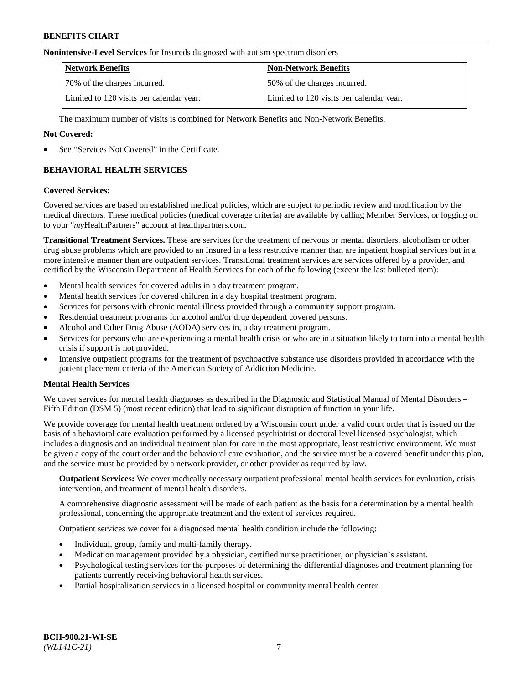#### **Nonintensive-Level Services** for Insureds diagnosed with autism spectrum disorders

| <b>Network Benefits</b>                  | <b>Non-Network Benefits</b>              |
|------------------------------------------|------------------------------------------|
| 70% of the charges incurred.             | 50% of the charges incurred.             |
| Limited to 120 visits per calendar year. | Limited to 120 visits per calendar year. |

The maximum number of visits is combined for Network Benefits and Non-Network Benefits.

### **Not Covered:**

See "Services Not Covered" in the Certificate.

## **BEHAVIORAL HEALTH SERVICES**

### **Covered Services:**

Covered services are based on established medical policies, which are subject to periodic review and modification by the medical directors. These medical policies (medical coverage criteria) are available by calling Member Services, or logging on to your "*my*HealthPartners" account at [healthpartners.com.](https://www.healthpartners.com/hp/index.html)

**Transitional Treatment Services.** These are services for the treatment of nervous or mental disorders, alcoholism or other drug abuse problems which are provided to an Insured in a less restrictive manner than are inpatient hospital services but in a more intensive manner than are outpatient services. Transitional treatment services are services offered by a provider, and certified by the Wisconsin Department of Health Services for each of the following (except the last bulleted item):

- Mental health services for covered adults in a day treatment program.
- Mental health services for covered children in a day hospital treatment program.
- Services for persons with chronic mental illness provided through a community support program.
- Residential treatment programs for alcohol and/or drug dependent covered persons.
- Alcohol and Other Drug Abuse (AODA) services in, a day treatment program.
- Services for persons who are experiencing a mental health crisis or who are in a situation likely to turn into a mental health crisis if support is not provided.
- Intensive outpatient programs for the treatment of psychoactive substance use disorders provided in accordance with the patient placement criteria of the American Society of Addiction Medicine.

## **Mental Health Services**

We cover services for mental health diagnoses as described in the Diagnostic and Statistical Manual of Mental Disorders – Fifth Edition (DSM 5) (most recent edition) that lead to significant disruption of function in your life.

We provide coverage for mental health treatment ordered by a Wisconsin court under a valid court order that is issued on the basis of a behavioral care evaluation performed by a licensed psychiatrist or doctoral level licensed psychologist, which includes a diagnosis and an individual treatment plan for care in the most appropriate, least restrictive environment. We must be given a copy of the court order and the behavioral care evaluation, and the service must be a covered benefit under this plan, and the service must be provided by a network provider, or other provider as required by law.

**Outpatient Services:** We cover medically necessary outpatient professional mental health services for evaluation, crisis intervention, and treatment of mental health disorders.

A comprehensive diagnostic assessment will be made of each patient as the basis for a determination by a mental health professional, concerning the appropriate treatment and the extent of services required.

Outpatient services we cover for a diagnosed mental health condition include the following:

- Individual, group, family and multi-family therapy.
- Medication management provided by a physician, certified nurse practitioner, or physician's assistant.
- Psychological testing services for the purposes of determining the differential diagnoses and treatment planning for patients currently receiving behavioral health services.
- Partial hospitalization services in a licensed hospital or community mental health center.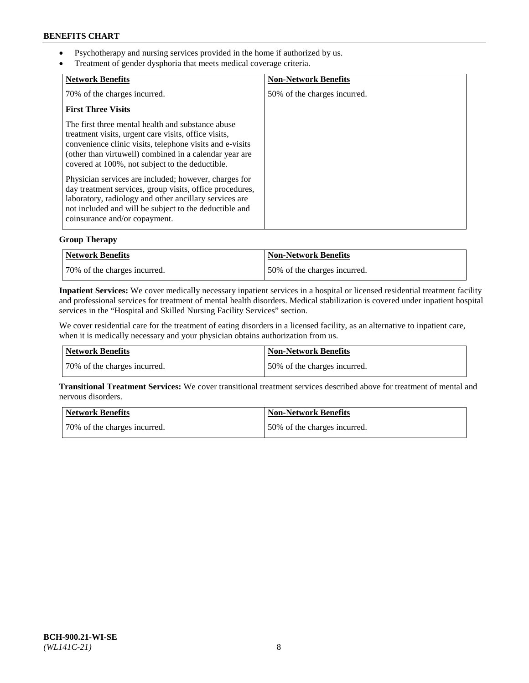- Psychotherapy and nursing services provided in the home if authorized by us.
- Treatment of gender dysphoria that meets medical coverage criteria.

| <b>Network Benefits</b>                                                                                                                                                                                                                                                            | <b>Non-Network Benefits</b>  |
|------------------------------------------------------------------------------------------------------------------------------------------------------------------------------------------------------------------------------------------------------------------------------------|------------------------------|
| 70% of the charges incurred.                                                                                                                                                                                                                                                       | 50% of the charges incurred. |
| <b>First Three Visits</b>                                                                                                                                                                                                                                                          |                              |
| The first three mental health and substance abuse<br>treatment visits, urgent care visits, office visits,<br>convenience clinic visits, telephone visits and e-visits<br>(other than virtuwell) combined in a calendar year are<br>covered at 100%, not subject to the deductible. |                              |
| Physician services are included; however, charges for<br>day treatment services, group visits, office procedures,<br>laboratory, radiology and other ancillary services are<br>not included and will be subject to the deductible and<br>coinsurance and/or copayment.             |                              |

## **Group Therapy**

| Network Benefits             | Non-Network Benefits         |
|------------------------------|------------------------------|
| 70% of the charges incurred. | 50% of the charges incurred. |

**Inpatient Services:** We cover medically necessary inpatient services in a hospital or licensed residential treatment facility and professional services for treatment of mental health disorders. Medical stabilization is covered under inpatient hospital services in the "Hospital and Skilled Nursing Facility Services" section.

We cover residential care for the treatment of eating disorders in a licensed facility, as an alternative to inpatient care, when it is medically necessary and your physician obtains authorization from us.

| Network Benefits             | <b>Non-Network Benefits</b>  |
|------------------------------|------------------------------|
| 70% of the charges incurred. | 50% of the charges incurred. |

**Transitional Treatment Services:** We cover transitional treatment services described above for treatment of mental and nervous disorders.

| Network Benefits             | Non-Network Benefits         |
|------------------------------|------------------------------|
| 70% of the charges incurred. | 50% of the charges incurred. |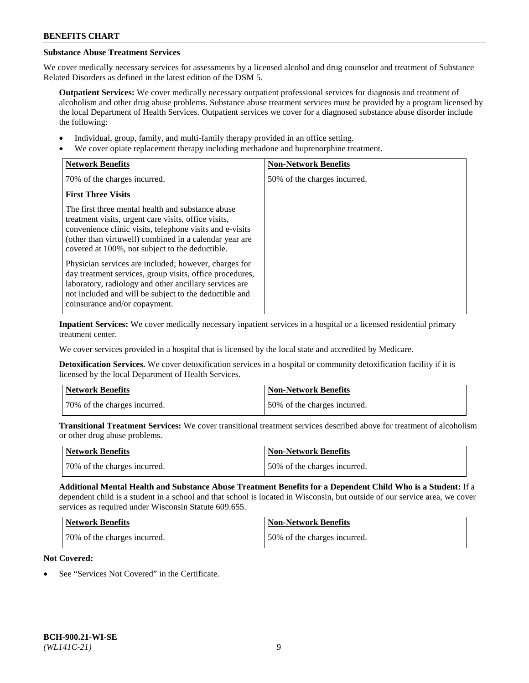## **Substance Abuse Treatment Services**

We cover medically necessary services for assessments by a licensed alcohol and drug counselor and treatment of Substance Related Disorders as defined in the latest edition of the DSM 5.

**Outpatient Services:** We cover medically necessary outpatient professional services for diagnosis and treatment of alcoholism and other drug abuse problems. Substance abuse treatment services must be provided by a program licensed by the local Department of Health Services. Outpatient services we cover for a diagnosed substance abuse disorder include the following:

- Individual, group, family, and multi-family therapy provided in an office setting.
- We cover opiate replacement therapy including methadone and buprenorphine treatment.

| <b>Network Benefits</b>                                                                                                                                                                                                                                                            | <b>Non-Network Benefits</b>  |
|------------------------------------------------------------------------------------------------------------------------------------------------------------------------------------------------------------------------------------------------------------------------------------|------------------------------|
| 70% of the charges incurred.                                                                                                                                                                                                                                                       | 50% of the charges incurred. |
| <b>First Three Visits</b>                                                                                                                                                                                                                                                          |                              |
| The first three mental health and substance abuse<br>treatment visits, urgent care visits, office visits,<br>convenience clinic visits, telephone visits and e-visits<br>(other than virtuwell) combined in a calendar year are<br>covered at 100%, not subject to the deductible. |                              |
| Physician services are included; however, charges for<br>day treatment services, group visits, office procedures,<br>laboratory, radiology and other ancillary services are<br>not included and will be subject to the deductible and<br>coinsurance and/or copayment.             |                              |

**Inpatient Services:** We cover medically necessary inpatient services in a hospital or a licensed residential primary treatment center.

We cover services provided in a hospital that is licensed by the local state and accredited by Medicare.

**Detoxification Services.** We cover detoxification services in a hospital or community detoxification facility if it is licensed by the local Department of Health Services.

| <b>Network Benefits</b>      | <b>Non-Network Benefits</b>  |
|------------------------------|------------------------------|
| 70% of the charges incurred. | 50% of the charges incurred. |

**Transitional Treatment Services:** We cover transitional treatment services described above for treatment of alcoholism or other drug abuse problems.

| Network Benefits             | <b>Non-Network Benefits</b>  |
|------------------------------|------------------------------|
| 70% of the charges incurred. | 50% of the charges incurred. |

**Additional Mental Health and Substance Abuse Treatment Benefits for a Dependent Child Who is a Student:** If a dependent child is a student in a school and that school is located in Wisconsin, but outside of our service area, we cover services as required under Wisconsin Statute 609.655.

| Network Benefits             | <b>Non-Network Benefits</b>  |
|------------------------------|------------------------------|
| 70% of the charges incurred. | 50% of the charges incurred. |

## **Not Covered:**

See "Services Not Covered" in the Certificate.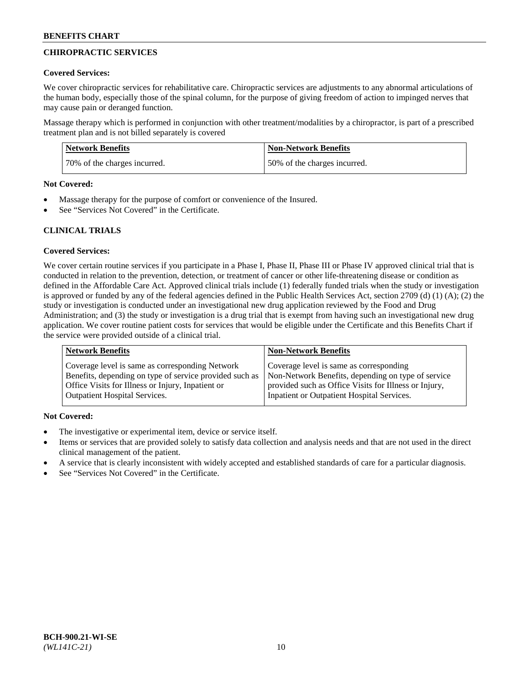## **CHIROPRACTIC SERVICES**

### **Covered Services:**

We cover chiropractic services for rehabilitative care. Chiropractic services are adjustments to any abnormal articulations of the human body, especially those of the spinal column, for the purpose of giving freedom of action to impinged nerves that may cause pain or deranged function.

Massage therapy which is performed in conjunction with other treatment/modalities by a chiropractor, is part of a prescribed treatment plan and is not billed separately is covered

| <b>Network Benefits</b>      | <b>Non-Network Benefits</b>  |
|------------------------------|------------------------------|
| 70% of the charges incurred. | 50% of the charges incurred. |

#### **Not Covered:**

- Massage therapy for the purpose of comfort or convenience of the Insured.
- See "Services Not Covered" in the Certificate.

## **CLINICAL TRIALS**

## **Covered Services:**

We cover certain routine services if you participate in a Phase I, Phase II, Phase III or Phase IV approved clinical trial that is conducted in relation to the prevention, detection, or treatment of cancer or other life-threatening disease or condition as defined in the Affordable Care Act. Approved clinical trials include (1) federally funded trials when the study or investigation is approved or funded by any of the federal agencies defined in the Public Health Services Act, section 2709 (d) (1) (A); (2) the study or investigation is conducted under an investigational new drug application reviewed by the Food and Drug Administration; and (3) the study or investigation is a drug trial that is exempt from having such an investigational new drug application. We cover routine patient costs for services that would be eligible under the Certificate and this Benefits Chart if the service were provided outside of a clinical trial.

| <b>Network Benefits</b>                                 | <b>Non-Network Benefits</b>                           |
|---------------------------------------------------------|-------------------------------------------------------|
| Coverage level is same as corresponding Network         | Coverage level is same as corresponding               |
| Benefits, depending on type of service provided such as | Non-Network Benefits, depending on type of service    |
| Office Visits for Illness or Injury, Inpatient or       | provided such as Office Visits for Illness or Injury, |
| <b>Outpatient Hospital Services.</b>                    | Inpatient or Outpatient Hospital Services.            |

## **Not Covered:**

- The investigative or experimental item, device or service itself.
- Items or services that are provided solely to satisfy data collection and analysis needs and that are not used in the direct clinical management of the patient.
- A service that is clearly inconsistent with widely accepted and established standards of care for a particular diagnosis.
- See "Services Not Covered" in the Certificate.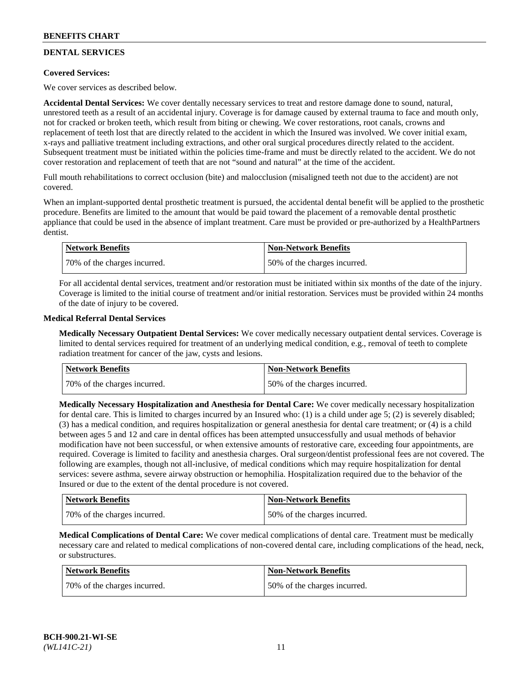## **DENTAL SERVICES**

## **Covered Services:**

We cover services as described below.

**Accidental Dental Services:** We cover dentally necessary services to treat and restore damage done to sound, natural, unrestored teeth as a result of an accidental injury. Coverage is for damage caused by external trauma to face and mouth only, not for cracked or broken teeth, which result from biting or chewing. We cover restorations, root canals, crowns and replacement of teeth lost that are directly related to the accident in which the Insured was involved. We cover initial exam, x-rays and palliative treatment including extractions, and other oral surgical procedures directly related to the accident. Subsequent treatment must be initiated within the policies time-frame and must be directly related to the accident. We do not cover restoration and replacement of teeth that are not "sound and natural" at the time of the accident.

Full mouth rehabilitations to correct occlusion (bite) and malocclusion (misaligned teeth not due to the accident) are not covered.

When an implant-supported dental prosthetic treatment is pursued, the accidental dental benefit will be applied to the prosthetic procedure. Benefits are limited to the amount that would be paid toward the placement of a removable dental prosthetic appliance that could be used in the absence of implant treatment. Care must be provided or pre-authorized by a HealthPartners dentist.

| Network Benefits             | <b>Non-Network Benefits</b>  |
|------------------------------|------------------------------|
| 70% of the charges incurred. | 50% of the charges incurred. |

For all accidental dental services, treatment and/or restoration must be initiated within six months of the date of the injury. Coverage is limited to the initial course of treatment and/or initial restoration. Services must be provided within 24 months of the date of injury to be covered.

### **Medical Referral Dental Services**

**Medically Necessary Outpatient Dental Services:** We cover medically necessary outpatient dental services. Coverage is limited to dental services required for treatment of an underlying medical condition, e.g., removal of teeth to complete radiation treatment for cancer of the jaw, cysts and lesions.

| <b>Network Benefits</b>      | <b>Non-Network Benefits</b>  |
|------------------------------|------------------------------|
| 70% of the charges incurred. | 50% of the charges incurred. |

**Medically Necessary Hospitalization and Anesthesia for Dental Care:** We cover medically necessary hospitalization for dental care. This is limited to charges incurred by an Insured who: (1) is a child under age  $5$ ; (2) is severely disabled; (3) has a medical condition, and requires hospitalization or general anesthesia for dental care treatment; or (4) is a child between ages 5 and 12 and care in dental offices has been attempted unsuccessfully and usual methods of behavior modification have not been successful, or when extensive amounts of restorative care, exceeding four appointments, are required. Coverage is limited to facility and anesthesia charges. Oral surgeon/dentist professional fees are not covered. The following are examples, though not all-inclusive, of medical conditions which may require hospitalization for dental services: severe asthma, severe airway obstruction or hemophilia. Hospitalization required due to the behavior of the Insured or due to the extent of the dental procedure is not covered.

| Network Benefits             | <b>Non-Network Benefits</b>  |
|------------------------------|------------------------------|
| 70% of the charges incurred. | 50% of the charges incurred. |

**Medical Complications of Dental Care:** We cover medical complications of dental care. Treatment must be medically necessary care and related to medical complications of non-covered dental care, including complications of the head, neck, or substructures.

| Network Benefits             | Non-Network Benefits         |
|------------------------------|------------------------------|
| 70% of the charges incurred. | 50% of the charges incurred. |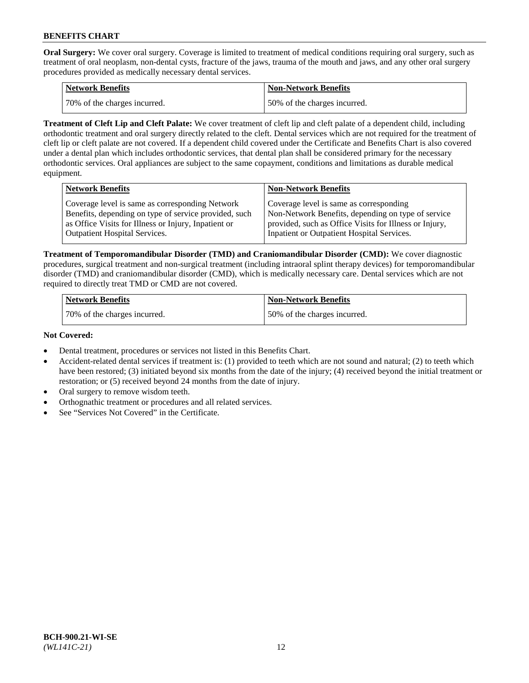**Oral Surgery:** We cover oral surgery. Coverage is limited to treatment of medical conditions requiring oral surgery, such as treatment of oral neoplasm, non-dental cysts, fracture of the jaws, trauma of the mouth and jaws, and any other oral surgery procedures provided as medically necessary dental services.

| <b>Network Benefits</b>       | <b>Non-Network Benefits</b>  |
|-------------------------------|------------------------------|
| 170% of the charges incurred. | 50% of the charges incurred. |

**Treatment of Cleft Lip and Cleft Palate:** We cover treatment of cleft lip and cleft palate of a dependent child, including orthodontic treatment and oral surgery directly related to the cleft. Dental services which are not required for the treatment of cleft lip or cleft palate are not covered. If a dependent child covered under the Certificate and Benefits Chart is also covered under a dental plan which includes orthodontic services, that dental plan shall be considered primary for the necessary orthodontic services. Oral appliances are subject to the same copayment, conditions and limitations as durable medical equipment.

| <b>Network Benefits</b>                               | <b>Non-Network Benefits</b>                            |
|-------------------------------------------------------|--------------------------------------------------------|
| Coverage level is same as corresponding Network       | Coverage level is same as corresponding                |
| Benefits, depending on type of service provided, such | Non-Network Benefits, depending on type of service     |
| as Office Visits for Illness or Injury, Inpatient or  | provided, such as Office Visits for Illness or Injury, |
| Outpatient Hospital Services.                         | Inpatient or Outpatient Hospital Services.             |

**Treatment of Temporomandibular Disorder (TMD) and Craniomandibular Disorder (CMD):** We cover diagnostic procedures, surgical treatment and non-surgical treatment (including intraoral splint therapy devices) for temporomandibular disorder (TMD) and craniomandibular disorder (CMD), which is medically necessary care. Dental services which are not required to directly treat TMD or CMD are not covered.

| <b>Network Benefits</b>      | <b>Non-Network Benefits</b>  |
|------------------------------|------------------------------|
| 70% of the charges incurred. | 50% of the charges incurred. |

**Not Covered:**

- Dental treatment, procedures or services not listed in this Benefits Chart.
- Accident-related dental services if treatment is: (1) provided to teeth which are not sound and natural; (2) to teeth which have been restored; (3) initiated beyond six months from the date of the injury; (4) received beyond the initial treatment or restoration; or (5) received beyond 24 months from the date of injury.
- Oral surgery to remove wisdom teeth.
- Orthognathic treatment or procedures and all related services.
- See "Services Not Covered" in the Certificate.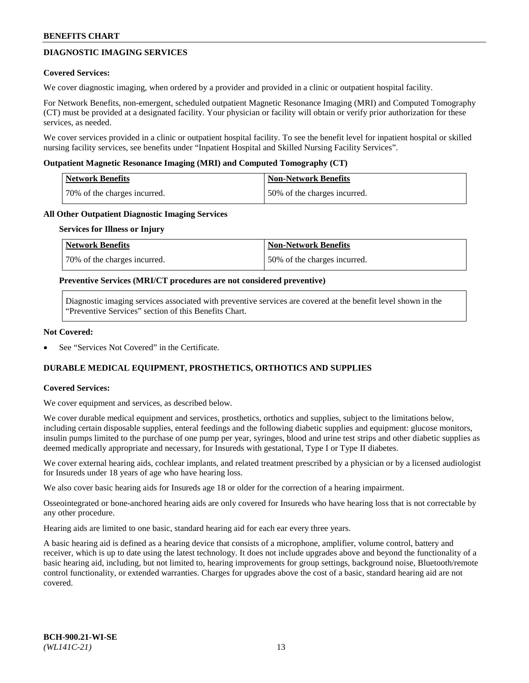## **DIAGNOSTIC IMAGING SERVICES**

### **Covered Services:**

We cover diagnostic imaging, when ordered by a provider and provided in a clinic or outpatient hospital facility.

For Network Benefits, non-emergent, scheduled outpatient Magnetic Resonance Imaging (MRI) and Computed Tomography (CT) must be provided at a designated facility. Your physician or facility will obtain or verify prior authorization for these services, as needed.

We cover services provided in a clinic or outpatient hospital facility. To see the benefit level for inpatient hospital or skilled nursing facility services, see benefits under "Inpatient Hospital and Skilled Nursing Facility Services".

### **Outpatient Magnetic Resonance Imaging (MRI) and Computed Tomography (CT)**

| <b>Network Benefits</b>      | <b>Non-Network Benefits</b>  |
|------------------------------|------------------------------|
| 70% of the charges incurred. | 50% of the charges incurred. |

### **All Other Outpatient Diagnostic Imaging Services**

#### **Services for Illness or Injury**

| Network Benefits             | <b>Non-Network Benefits</b>  |
|------------------------------|------------------------------|
| 70% of the charges incurred. | 50% of the charges incurred. |

### **Preventive Services (MRI/CT procedures are not considered preventive)**

Diagnostic imaging services associated with preventive services are covered at the benefit level shown in the "Preventive Services" section of this Benefits Chart.

### **Not Covered:**

See "Services Not Covered" in the Certificate.

## **DURABLE MEDICAL EQUIPMENT, PROSTHETICS, ORTHOTICS AND SUPPLIES**

#### **Covered Services:**

We cover equipment and services, as described below.

We cover durable medical equipment and services, prosthetics, orthotics and supplies, subject to the limitations below, including certain disposable supplies, enteral feedings and the following diabetic supplies and equipment: glucose monitors, insulin pumps limited to the purchase of one pump per year, syringes, blood and urine test strips and other diabetic supplies as deemed medically appropriate and necessary, for Insureds with gestational, Type I or Type II diabetes.

We cover external hearing aids, cochlear implants, and related treatment prescribed by a physician or by a licensed audiologist for Insureds under 18 years of age who have hearing loss.

We also cover basic hearing aids for Insureds age 18 or older for the correction of a hearing impairment.

Osseointegrated or bone-anchored hearing aids are only covered for Insureds who have hearing loss that is not correctable by any other procedure.

Hearing aids are limited to one basic, standard hearing aid for each ear every three years.

A basic hearing aid is defined as a hearing device that consists of a microphone, amplifier, volume control, battery and receiver, which is up to date using the latest technology. It does not include upgrades above and beyond the functionality of a basic hearing aid, including, but not limited to, hearing improvements for group settings, background noise, Bluetooth/remote control functionality, or extended warranties. Charges for upgrades above the cost of a basic, standard hearing aid are not covered.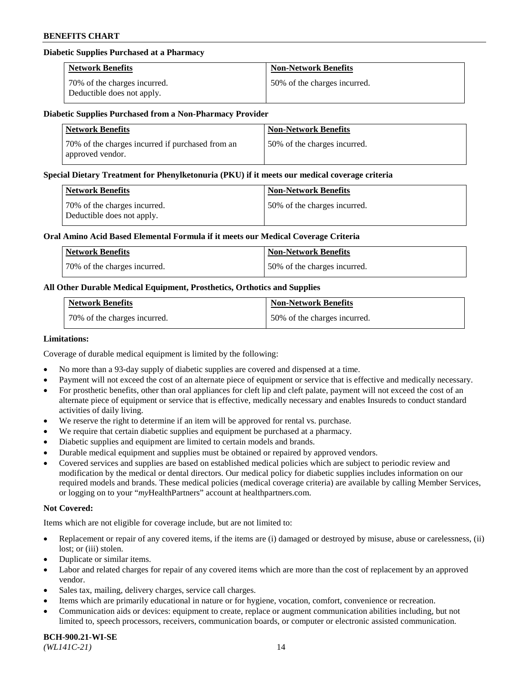### **Diabetic Supplies Purchased at a Pharmacy**

| <b>Network Benefits</b>                                    | <b>Non-Network Benefits</b>  |
|------------------------------------------------------------|------------------------------|
| 70% of the charges incurred.<br>Deductible does not apply. | 50% of the charges incurred. |

#### **Diabetic Supplies Purchased from a Non-Pharmacy Provider**

| <b>Network Benefits</b>                                              | <b>Non-Network Benefits</b>  |
|----------------------------------------------------------------------|------------------------------|
| 70% of the charges incurred if purchased from an<br>approved vendor. | 50% of the charges incurred. |

#### **Special Dietary Treatment for Phenylketonuria (PKU) if it meets our medical coverage criteria**

| Network Benefits                                           | <b>Non-Network Benefits</b>  |
|------------------------------------------------------------|------------------------------|
| 70% of the charges incurred.<br>Deductible does not apply. | 50% of the charges incurred. |

### **Oral Amino Acid Based Elemental Formula if it meets our Medical Coverage Criteria**

| Network Benefits             | <b>Non-Network Benefits</b>  |
|------------------------------|------------------------------|
| 70% of the charges incurred. | 50% of the charges incurred. |

## **All Other Durable Medical Equipment, Prosthetics, Orthotics and Supplies**

| <b>Network Benefits</b>      | <b>Non-Network Benefits</b>  |
|------------------------------|------------------------------|
| 70% of the charges incurred. | 50% of the charges incurred. |

### **Limitations:**

Coverage of durable medical equipment is limited by the following:

- No more than a 93-day supply of diabetic supplies are covered and dispensed at a time.
- Payment will not exceed the cost of an alternate piece of equipment or service that is effective and medically necessary.
- For prosthetic benefits, other than oral appliances for cleft lip and cleft palate, payment will not exceed the cost of an alternate piece of equipment or service that is effective, medically necessary and enables Insureds to conduct standard
- activities of daily living. We reserve the right to determine if an item will be approved for rental vs. purchase.
- We require that certain diabetic supplies and equipment be purchased at a pharmacy.
- Diabetic supplies and equipment are limited to certain models and brands.
- Durable medical equipment and supplies must be obtained or repaired by approved vendors.
- Covered services and supplies are based on established medical policies which are subject to periodic review and modification by the medical or dental directors. Our medical policy for diabetic supplies includes information on our required models and brands. These medical policies (medical coverage criteria) are available by calling Member Services, or logging on to your "*my*HealthPartners" account a[t healthpartners.com.](https://www.healthpartners.com/hp/index.html)

## **Not Covered:**

Items which are not eligible for coverage include, but are not limited to:

- Replacement or repair of any covered items, if the items are (i) damaged or destroyed by misuse, abuse or carelessness, (ii) lost; or (iii) stolen.
- Duplicate or similar items.
- Labor and related charges for repair of any covered items which are more than the cost of replacement by an approved vendor.
- Sales tax, mailing, delivery charges, service call charges.
- Items which are primarily educational in nature or for hygiene, vocation, comfort, convenience or recreation.
- Communication aids or devices: equipment to create, replace or augment communication abilities including, but not limited to, speech processors, receivers, communication boards, or computer or electronic assisted communication.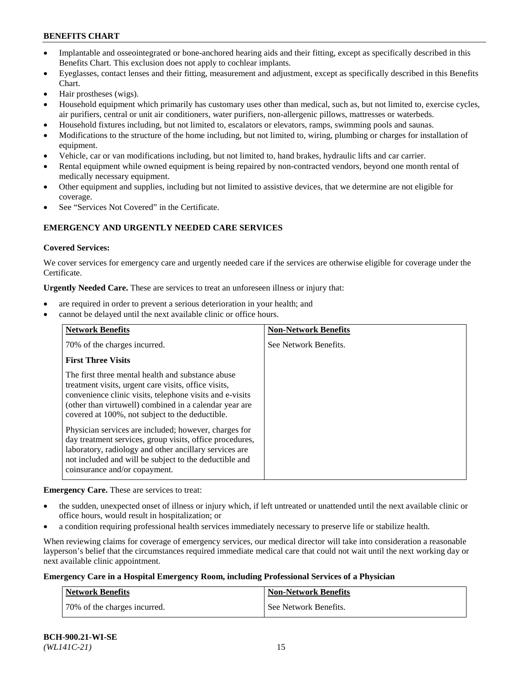- Implantable and osseointegrated or bone-anchored hearing aids and their fitting, except as specifically described in this Benefits Chart. This exclusion does not apply to cochlear implants.
- Eyeglasses, contact lenses and their fitting, measurement and adjustment, except as specifically described in this Benefits Chart.
- Hair prostheses (wigs).
- Household equipment which primarily has customary uses other than medical, such as, but not limited to, exercise cycles, air purifiers, central or unit air conditioners, water purifiers, non-allergenic pillows, mattresses or waterbeds.
- Household fixtures including, but not limited to, escalators or elevators, ramps, swimming pools and saunas.
- Modifications to the structure of the home including, but not limited to, wiring, plumbing or charges for installation of equipment.
- Vehicle, car or van modifications including, but not limited to, hand brakes, hydraulic lifts and car carrier.
- Rental equipment while owned equipment is being repaired by non-contracted vendors, beyond one month rental of medically necessary equipment.
- Other equipment and supplies, including but not limited to assistive devices, that we determine are not eligible for coverage.
- See "Services Not Covered" in the Certificate.

## **EMERGENCY AND URGENTLY NEEDED CARE SERVICES**

### **Covered Services:**

We cover services for emergency care and urgently needed care if the services are otherwise eligible for coverage under the Certificate.

**Urgently Needed Care.** These are services to treat an unforeseen illness or injury that:

- are required in order to prevent a serious deterioration in your health; and
- cannot be delayed until the next available clinic or office hours.

| <b>Network Benefits</b>                                                                                                                                                                                                                                                            | <b>Non-Network Benefits</b> |
|------------------------------------------------------------------------------------------------------------------------------------------------------------------------------------------------------------------------------------------------------------------------------------|-----------------------------|
| 70% of the charges incurred.                                                                                                                                                                                                                                                       | See Network Benefits.       |
| <b>First Three Visits</b>                                                                                                                                                                                                                                                          |                             |
| The first three mental health and substance abuse<br>treatment visits, urgent care visits, office visits,<br>convenience clinic visits, telephone visits and e-visits<br>(other than virtuwell) combined in a calendar year are<br>covered at 100%, not subject to the deductible. |                             |
| Physician services are included; however, charges for<br>day treatment services, group visits, office procedures,<br>laboratory, radiology and other ancillary services are<br>not included and will be subject to the deductible and<br>coinsurance and/or copayment.             |                             |

**Emergency Care.** These are services to treat:

- the sudden, unexpected onset of illness or injury which, if left untreated or unattended until the next available clinic or office hours, would result in hospitalization; or
- a condition requiring professional health services immediately necessary to preserve life or stabilize health.

When reviewing claims for coverage of emergency services, our medical director will take into consideration a reasonable layperson's belief that the circumstances required immediate medical care that could not wait until the next working day or next available clinic appointment.

#### **Emergency Care in a Hospital Emergency Room, including Professional Services of a Physician**

| <b>Network Benefits</b>      | Non-Network Benefits  |
|------------------------------|-----------------------|
| 70% of the charges incurred. | See Network Benefits. |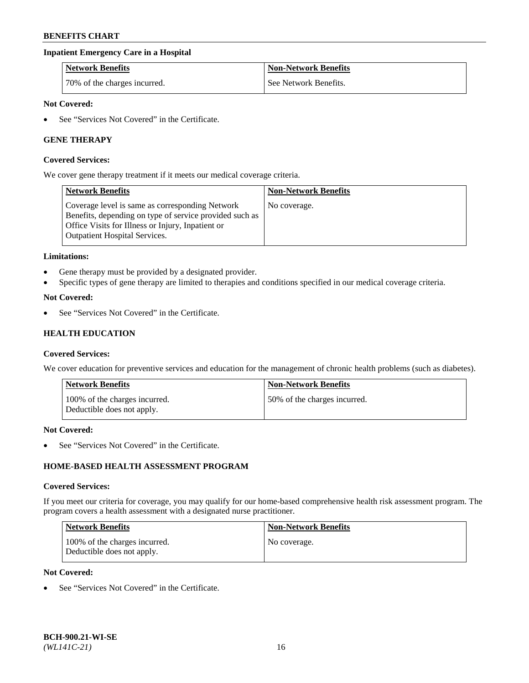## **Inpatient Emergency Care in a Hospital**

| <b>Network Benefits</b>      | <b>Non-Network Benefits</b> |
|------------------------------|-----------------------------|
| 70% of the charges incurred. | See Network Benefits.       |

### **Not Covered:**

See "Services Not Covered" in the Certificate.

## **GENE THERAPY**

#### **Covered Services:**

We cover gene therapy treatment if it meets our medical coverage criteria.

| <b>Network Benefits</b>                                                                                                                                                                          | <b>Non-Network Benefits</b> |
|--------------------------------------------------------------------------------------------------------------------------------------------------------------------------------------------------|-----------------------------|
| Coverage level is same as corresponding Network<br>Benefits, depending on type of service provided such as<br>Office Visits for Illness or Injury, Inpatient or<br>Outpatient Hospital Services. | No coverage.                |

#### **Limitations:**

- Gene therapy must be provided by a designated provider.
- Specific types of gene therapy are limited to therapies and conditions specified in our medical coverage criteria.

### **Not Covered:**

See "Services Not Covered" in the Certificate.

## **HEALTH EDUCATION**

#### **Covered Services:**

We cover education for preventive services and education for the management of chronic health problems (such as diabetes).

| Network Benefits                                            | <b>Non-Network Benefits</b>  |
|-------------------------------------------------------------|------------------------------|
| 100% of the charges incurred.<br>Deductible does not apply. | 50% of the charges incurred. |

#### **Not Covered:**

See "Services Not Covered" in the Certificate.

## **HOME-BASED HEALTH ASSESSMENT PROGRAM**

#### **Covered Services:**

If you meet our criteria for coverage, you may qualify for our home-based comprehensive health risk assessment program. The program covers a health assessment with a designated nurse practitioner.

| <b>Network Benefits</b>                                     | <b>Non-Network Benefits</b> |
|-------------------------------------------------------------|-----------------------------|
| 100% of the charges incurred.<br>Deductible does not apply. | No coverage.                |

## **Not Covered:**

• See "Services Not Covered" in the Certificate.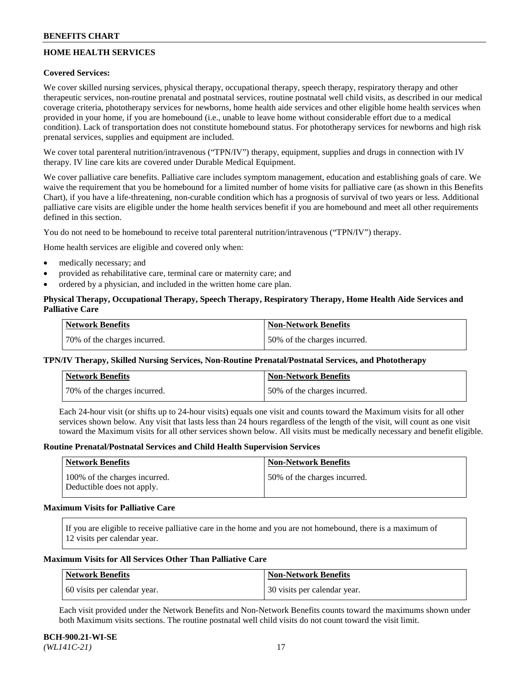## **HOME HEALTH SERVICES**

## **Covered Services:**

We cover skilled nursing services, physical therapy, occupational therapy, speech therapy, respiratory therapy and other therapeutic services, non-routine prenatal and postnatal services, routine postnatal well child visits, as described in our medical coverage criteria, phototherapy services for newborns, home health aide services and other eligible home health services when provided in your home, if you are homebound (i.e., unable to leave home without considerable effort due to a medical condition). Lack of transportation does not constitute homebound status. For phototherapy services for newborns and high risk prenatal services, supplies and equipment are included.

We cover total parenteral nutrition/intravenous ("TPN/IV") therapy, equipment, supplies and drugs in connection with IV therapy. IV line care kits are covered under Durable Medical Equipment.

We cover palliative care benefits. Palliative care includes symptom management, education and establishing goals of care. We waive the requirement that you be homebound for a limited number of home visits for palliative care (as shown in this Benefits Chart), if you have a life-threatening, non-curable condition which has a prognosis of survival of two years or less. Additional palliative care visits are eligible under the home health services benefit if you are homebound and meet all other requirements defined in this section.

You do not need to be homebound to receive total parenteral nutrition/intravenous ("TPN/IV") therapy.

Home health services are eligible and covered only when:

- medically necessary; and
- provided as rehabilitative care, terminal care or maternity care; and
- ordered by a physician, and included in the written home care plan.

## **Physical Therapy, Occupational Therapy, Speech Therapy, Respiratory Therapy, Home Health Aide Services and Palliative Care**

| Network Benefits             | <b>Non-Network Benefits</b>  |
|------------------------------|------------------------------|
| 70% of the charges incurred. | 50% of the charges incurred. |

## **TPN/IV Therapy, Skilled Nursing Services, Non-Routine Prenatal/Postnatal Services, and Phototherapy**

| Network Benefits             | <b>Non-Network Benefits</b>  |
|------------------------------|------------------------------|
| 70% of the charges incurred. | 50% of the charges incurred. |

Each 24-hour visit (or shifts up to 24-hour visits) equals one visit and counts toward the Maximum visits for all other services shown below. Any visit that lasts less than 24 hours regardless of the length of the visit, will count as one visit toward the Maximum visits for all other services shown below. All visits must be medically necessary and benefit eligible.

#### **Routine Prenatal/Postnatal Services and Child Health Supervision Services**

| Network Benefits                                            | <b>Non-Network Benefits</b>  |
|-------------------------------------------------------------|------------------------------|
| 100% of the charges incurred.<br>Deductible does not apply. | 50% of the charges incurred. |

### **Maximum Visits for Palliative Care**

If you are eligible to receive palliative care in the home and you are not homebound, there is a maximum of 12 visits per calendar year.

### **Maximum Visits for All Services Other Than Palliative Care**

| Network Benefits             | Non-Network Benefits         |
|------------------------------|------------------------------|
| 60 visits per calendar year. | 30 visits per calendar year. |

Each visit provided under the Network Benefits and Non-Network Benefits counts toward the maximums shown under both Maximum visits sections. The routine postnatal well child visits do not count toward the visit limit.

#### **BCH-900.21-WI-SE**  *(WL141C-21)* 17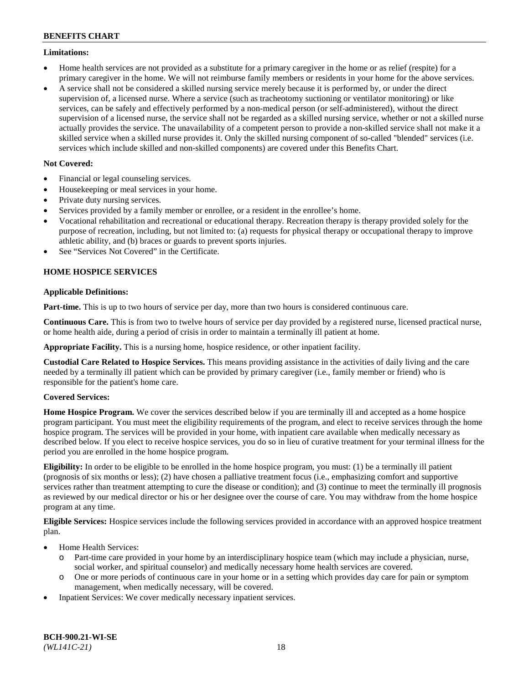### **Limitations:**

- Home health services are not provided as a substitute for a primary caregiver in the home or as relief (respite) for a primary caregiver in the home. We will not reimburse family members or residents in your home for the above services.
- A service shall not be considered a skilled nursing service merely because it is performed by, or under the direct supervision of, a licensed nurse. Where a service (such as tracheotomy suctioning or ventilator monitoring) or like services, can be safely and effectively performed by a non-medical person (or self-administered), without the direct supervision of a licensed nurse, the service shall not be regarded as a skilled nursing service, whether or not a skilled nurse actually provides the service. The unavailability of a competent person to provide a non-skilled service shall not make it a skilled service when a skilled nurse provides it. Only the skilled nursing component of so-called "blended" services (i.e. services which include skilled and non-skilled components) are covered under this Benefits Chart.

## **Not Covered:**

- Financial or legal counseling services.
- Housekeeping or meal services in your home.
- Private duty nursing services.
- Services provided by a family member or enrollee, or a resident in the enrollee's home.
- Vocational rehabilitation and recreational or educational therapy. Recreation therapy is therapy provided solely for the purpose of recreation, including, but not limited to: (a) requests for physical therapy or occupational therapy to improve athletic ability, and (b) braces or guards to prevent sports injuries.
- See "Services Not Covered" in the Certificate.

## **HOME HOSPICE SERVICES**

## **Applicable Definitions:**

**Part-time.** This is up to two hours of service per day, more than two hours is considered continuous care.

**Continuous Care.** This is from two to twelve hours of service per day provided by a registered nurse, licensed practical nurse, or home health aide, during a period of crisis in order to maintain a terminally ill patient at home.

**Appropriate Facility.** This is a nursing home, hospice residence, or other inpatient facility.

**Custodial Care Related to Hospice Services.** This means providing assistance in the activities of daily living and the care needed by a terminally ill patient which can be provided by primary caregiver (i.e., family member or friend) who is responsible for the patient's home care.

## **Covered Services:**

**Home Hospice Program.** We cover the services described below if you are terminally ill and accepted as a home hospice program participant. You must meet the eligibility requirements of the program, and elect to receive services through the home hospice program. The services will be provided in your home, with inpatient care available when medically necessary as described below. If you elect to receive hospice services, you do so in lieu of curative treatment for your terminal illness for the period you are enrolled in the home hospice program.

**Eligibility:** In order to be eligible to be enrolled in the home hospice program, you must: (1) be a terminally ill patient (prognosis of six months or less); (2) have chosen a palliative treatment focus (i.e., emphasizing comfort and supportive services rather than treatment attempting to cure the disease or condition); and (3) continue to meet the terminally ill prognosis as reviewed by our medical director or his or her designee over the course of care. You may withdraw from the home hospice program at any time.

**Eligible Services:** Hospice services include the following services provided in accordance with an approved hospice treatment plan.

- Home Health Services:
	- o Part-time care provided in your home by an interdisciplinary hospice team (which may include a physician, nurse, social worker, and spiritual counselor) and medically necessary home health services are covered.
	- o One or more periods of continuous care in your home or in a setting which provides day care for pain or symptom management, when medically necessary, will be covered.
- Inpatient Services: We cover medically necessary inpatient services.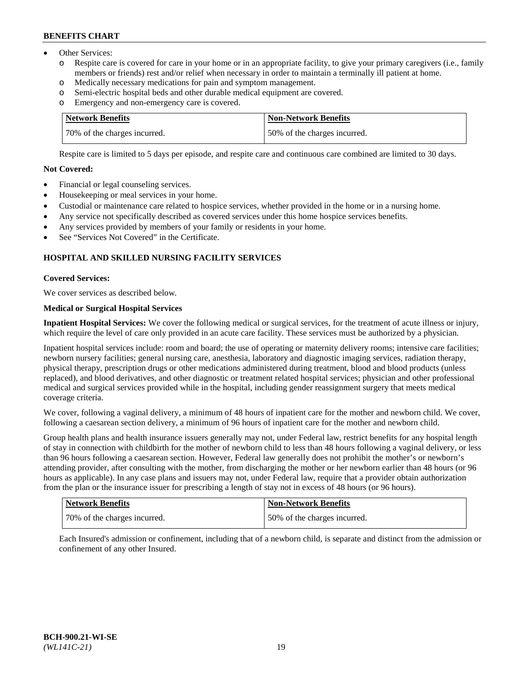- Other Services:
	- Respite care is covered for care in your home or in an appropriate facility, to give your primary caregivers (i.e., family members or friends) rest and/or relief when necessary in order to maintain a terminally ill patient at home.
	- o Medically necessary medications for pain and symptom management.
	- o Semi-electric hospital beds and other durable medical equipment are covered.
	- Emergency and non-emergency care is covered.

| Network Benefits             | Non-Network Benefits         |
|------------------------------|------------------------------|
| 70% of the charges incurred. | 50% of the charges incurred. |

Respite care is limited to 5 days per episode, and respite care and continuous care combined are limited to 30 days.

## **Not Covered:**

- Financial or legal counseling services.
- Housekeeping or meal services in your home.
- Custodial or maintenance care related to hospice services, whether provided in the home or in a nursing home.
- Any service not specifically described as covered services under this home hospice services benefits.
- Any services provided by members of your family or residents in your home.
- See "Services Not Covered" in the Certificate.

## **HOSPITAL AND SKILLED NURSING FACILITY SERVICES**

## **Covered Services:**

We cover services as described below.

## **Medical or Surgical Hospital Services**

**Inpatient Hospital Services:** We cover the following medical or surgical services, for the treatment of acute illness or injury, which require the level of care only provided in an acute care facility. These services must be authorized by a physician.

Inpatient hospital services include: room and board; the use of operating or maternity delivery rooms; intensive care facilities; newborn nursery facilities; general nursing care, anesthesia, laboratory and diagnostic imaging services, radiation therapy, physical therapy, prescription drugs or other medications administered during treatment, blood and blood products (unless replaced), and blood derivatives, and other diagnostic or treatment related hospital services; physician and other professional medical and surgical services provided while in the hospital, including gender reassignment surgery that meets medical coverage criteria.

We cover, following a vaginal delivery, a minimum of 48 hours of inpatient care for the mother and newborn child. We cover, following a caesarean section delivery, a minimum of 96 hours of inpatient care for the mother and newborn child.

Group health plans and health insurance issuers generally may not, under Federal law, restrict benefits for any hospital length of stay in connection with childbirth for the mother of newborn child to less than 48 hours following a vaginal delivery, or less than 96 hours following a caesarean section. However, Federal law generally does not prohibit the mother's or newborn's attending provider, after consulting with the mother, from discharging the mother or her newborn earlier than 48 hours (or 96 hours as applicable). In any case plans and issuers may not, under Federal law, require that a provider obtain authorization from the plan or the insurance issuer for prescribing a length of stay not in excess of 48 hours (or 96 hours).

| Network Benefits             | Non-Network Benefits         |
|------------------------------|------------------------------|
| 70% of the charges incurred. | 50% of the charges incurred. |

Each Insured's admission or confinement, including that of a newborn child, is separate and distinct from the admission or confinement of any other Insured.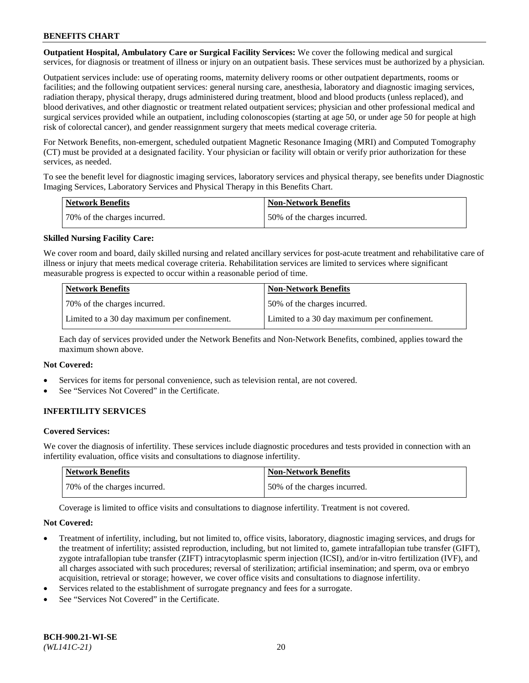**Outpatient Hospital, Ambulatory Care or Surgical Facility Services:** We cover the following medical and surgical services, for diagnosis or treatment of illness or injury on an outpatient basis. These services must be authorized by a physician.

Outpatient services include: use of operating rooms, maternity delivery rooms or other outpatient departments, rooms or facilities; and the following outpatient services: general nursing care, anesthesia, laboratory and diagnostic imaging services, radiation therapy, physical therapy, drugs administered during treatment, blood and blood products (unless replaced), and blood derivatives, and other diagnostic or treatment related outpatient services; physician and other professional medical and surgical services provided while an outpatient, including colonoscopies (starting at age 50, or under age 50 for people at high risk of colorectal cancer), and gender reassignment surgery that meets medical coverage criteria.

For Network Benefits, non-emergent, scheduled outpatient Magnetic Resonance Imaging (MRI) and Computed Tomography (CT) must be provided at a designated facility. Your physician or facility will obtain or verify prior authorization for these services, as needed.

To see the benefit level for diagnostic imaging services, laboratory services and physical therapy, see benefits under Diagnostic Imaging Services, Laboratory Services and Physical Therapy in this Benefits Chart.

| <b>Network Benefits</b>      | <b>Non-Network Benefits</b>  |
|------------------------------|------------------------------|
| 70% of the charges incurred. | 50% of the charges incurred. |

## **Skilled Nursing Facility Care:**

We cover room and board, daily skilled nursing and related ancillary services for post-acute treatment and rehabilitative care of illness or injury that meets medical coverage criteria. Rehabilitation services are limited to services where significant measurable progress is expected to occur within a reasonable period of time.

| <b>Network Benefits</b>                      | <b>Non-Network Benefits</b>                  |
|----------------------------------------------|----------------------------------------------|
| 70\% of the charges incurred.                | 150% of the charges incurred.                |
| Limited to a 30 day maximum per confinement. | Limited to a 30 day maximum per confinement. |

Each day of services provided under the Network Benefits and Non-Network Benefits, combined, applies toward the maximum shown above.

#### **Not Covered:**

- Services for items for personal convenience, such as television rental, are not covered.
- See "Services Not Covered" in the Certificate.

## **INFERTILITY SERVICES**

#### **Covered Services:**

We cover the diagnosis of infertility. These services include diagnostic procedures and tests provided in connection with an infertility evaluation, office visits and consultations to diagnose infertility.

| <b>Network Benefits</b>      | <b>Non-Network Benefits</b>  |
|------------------------------|------------------------------|
| 70% of the charges incurred. | 50% of the charges incurred. |

Coverage is limited to office visits and consultations to diagnose infertility. Treatment is not covered.

#### **Not Covered:**

- Treatment of infertility, including, but not limited to, office visits, laboratory, diagnostic imaging services, and drugs for the treatment of infertility; assisted reproduction, including, but not limited to, gamete intrafallopian tube transfer (GIFT), zygote intrafallopian tube transfer (ZIFT) intracytoplasmic sperm injection (ICSI), and/or in-vitro fertilization (IVF), and all charges associated with such procedures; reversal of sterilization; artificial insemination; and sperm, ova or embryo acquisition, retrieval or storage; however, we cover office visits and consultations to diagnose infertility.
- Services related to the establishment of surrogate pregnancy and fees for a surrogate.
- See "Services Not Covered" in the Certificate.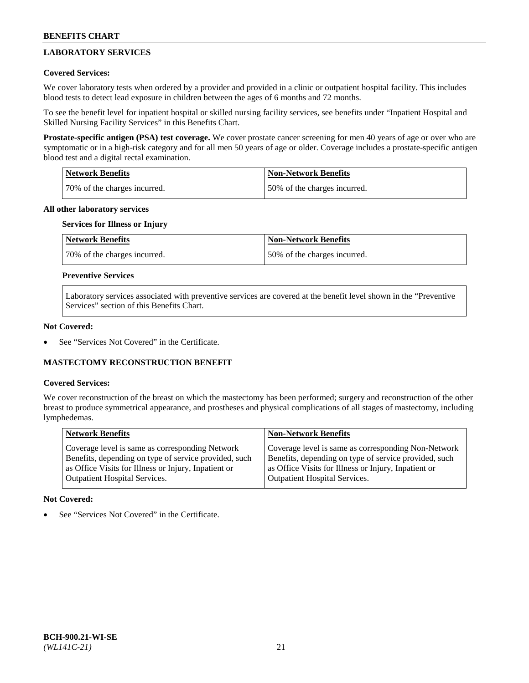## **LABORATORY SERVICES**

## **Covered Services:**

We cover laboratory tests when ordered by a provider and provided in a clinic or outpatient hospital facility. This includes blood tests to detect lead exposure in children between the ages of 6 months and 72 months.

To see the benefit level for inpatient hospital or skilled nursing facility services, see benefits under "Inpatient Hospital and Skilled Nursing Facility Services" in this Benefits Chart.

**Prostate-specific antigen (PSA) test coverage.** We cover prostate cancer screening for men 40 years of age or over who are symptomatic or in a high-risk category and for all men 50 years of age or older. Coverage includes a prostate-specific antigen blood test and a digital rectal examination.

| Network Benefits             | <b>Non-Network Benefits</b>  |
|------------------------------|------------------------------|
| 70% of the charges incurred. | 50% of the charges incurred. |

### **All other laboratory services**

## **Services for Illness or Injury**

| <b>Network Benefits</b>      | Non-Network Benefits         |
|------------------------------|------------------------------|
| 70% of the charges incurred. | 50% of the charges incurred. |

### **Preventive Services**

Laboratory services associated with preventive services are covered at the benefit level shown in the "Preventive Services" section of this Benefits Chart.

### **Not Covered:**

See "Services Not Covered" in the Certificate.

## **MASTECTOMY RECONSTRUCTION BENEFIT**

#### **Covered Services:**

We cover reconstruction of the breast on which the mastectomy has been performed; surgery and reconstruction of the other breast to produce symmetrical appearance, and prostheses and physical complications of all stages of mastectomy, including lymphedemas.

| <b>Network Benefits</b>                               | <b>Non-Network Benefits</b>                           |
|-------------------------------------------------------|-------------------------------------------------------|
| Coverage level is same as corresponding Network       | Coverage level is same as corresponding Non-Network   |
| Benefits, depending on type of service provided, such | Benefits, depending on type of service provided, such |
| as Office Visits for Illness or Injury, Inpatient or  | as Office Visits for Illness or Injury, Inpatient or  |
| Outpatient Hospital Services.                         | <b>Outpatient Hospital Services.</b>                  |

#### **Not Covered:**

See "Services Not Covered" in the Certificate.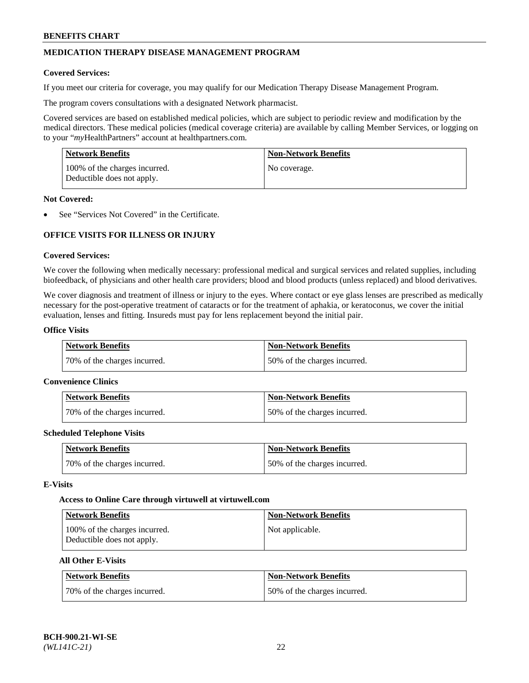## **MEDICATION THERAPY DISEASE MANAGEMENT PROGRAM**

### **Covered Services:**

If you meet our criteria for coverage, you may qualify for our Medication Therapy Disease Management Program.

The program covers consultations with a designated Network pharmacist.

Covered services are based on established medical policies, which are subject to periodic review and modification by the medical directors. These medical policies (medical coverage criteria) are available by calling Member Services, or logging on to your "*my*HealthPartners" account at [healthpartners.com.](http://www.healthpartners.com/)

| Network Benefits                                            | <b>Non-Network Benefits</b> |
|-------------------------------------------------------------|-----------------------------|
| 100% of the charges incurred.<br>Deductible does not apply. | No coverage.                |

### **Not Covered:**

See "Services Not Covered" in the Certificate.

## **OFFICE VISITS FOR ILLNESS OR INJURY**

### **Covered Services:**

We cover the following when medically necessary: professional medical and surgical services and related supplies, including biofeedback, of physicians and other health care providers; blood and blood products (unless replaced) and blood derivatives.

We cover diagnosis and treatment of illness or injury to the eyes. Where contact or eye glass lenses are prescribed as medically necessary for the post-operative treatment of cataracts or for the treatment of aphakia, or keratoconus, we cover the initial evaluation, lenses and fitting. Insureds must pay for lens replacement beyond the initial pair.

## **Office Visits**

| Network Benefits             | <b>Non-Network Benefits</b>  |
|------------------------------|------------------------------|
| 70% of the charges incurred. | 50% of the charges incurred. |

#### **Convenience Clinics**

| Network Benefits             | <b>Non-Network Benefits</b>  |
|------------------------------|------------------------------|
| 70% of the charges incurred. | 50% of the charges incurred. |

#### **Scheduled Telephone Visits**

| <b>Network Benefits</b>      | <b>Non-Network Benefits</b>  |
|------------------------------|------------------------------|
| 70% of the charges incurred. | 50% of the charges incurred. |

#### **E-Visits**

#### **Access to Online Care through virtuwell a[t virtuwell.com](https://www.virtuwell.com/)**

| <b>Network Benefits</b>                                     | <b>Non-Network Benefits</b> |
|-------------------------------------------------------------|-----------------------------|
| 100% of the charges incurred.<br>Deductible does not apply. | Not applicable.             |

### **All Other E-Visits**

| Network Benefits             | <b>Non-Network Benefits</b>  |
|------------------------------|------------------------------|
| 70% of the charges incurred. | 50% of the charges incurred. |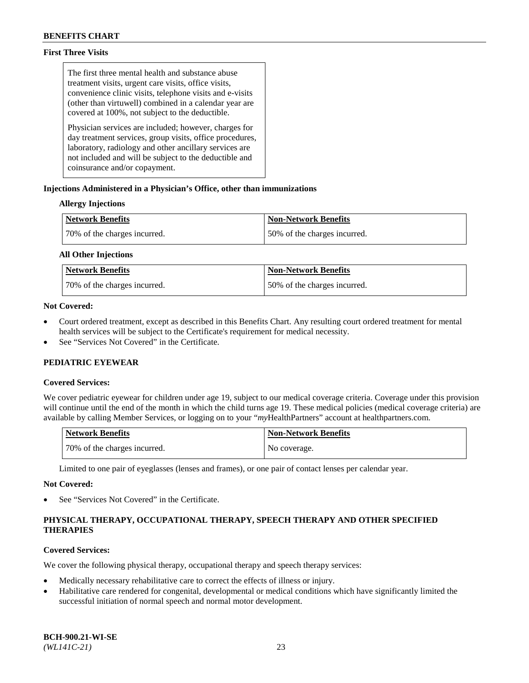## **First Three Visits**

The first three mental health and substance abuse treatment visits, urgent care visits, office visits, convenience clinic visits, telephone visits and e-visits (other than virtuwell) combined in a calendar year are covered at 100%, not subject to the deductible.

Physician services are included; however, charges for day treatment services, group visits, office procedures, laboratory, radiology and other ancillary services are not included and will be subject to the deductible and coinsurance and/or copayment.

### **Injections Administered in a Physician's Office, other than immunizations**

### **Allergy Injections**

| <b>Network Benefits</b>      | <b>Non-Network Benefits</b>  |
|------------------------------|------------------------------|
| 70% of the charges incurred. | 50% of the charges incurred. |

#### **All Other Injections**

| <b>Network Benefits</b>      | <b>Non-Network Benefits</b>  |
|------------------------------|------------------------------|
| 70% of the charges incurred. | 50% of the charges incurred. |

### **Not Covered:**

- Court ordered treatment, except as described in this Benefits Chart. Any resulting court ordered treatment for mental health services will be subject to the Certificate's requirement for medical necessity.
- See "Services Not Covered" in the Certificate.

## **PEDIATRIC EYEWEAR**

#### **Covered Services:**

We cover pediatric eyewear for children under age 19, subject to our medical coverage criteria. Coverage under this provision will continue until the end of the month in which the child turns age 19. These medical policies (medical coverage criteria) are available by calling Member Services, or logging on to your "*my*HealthPartners" account a[t healthpartners.com.](https://www.healthpartners.com/hp/index.html)

| Network Benefits             | <b>Non-Network Benefits</b> |
|------------------------------|-----------------------------|
| 70% of the charges incurred. | No coverage.                |

Limited to one pair of eyeglasses (lenses and frames), or one pair of contact lenses per calendar year.

#### **Not Covered:**

See "Services Not Covered" in the Certificate.

## **PHYSICAL THERAPY, OCCUPATIONAL THERAPY, SPEECH THERAPY AND OTHER SPECIFIED THERAPIES**

## **Covered Services:**

We cover the following physical therapy, occupational therapy and speech therapy services:

- Medically necessary rehabilitative care to correct the effects of illness or injury.
- Habilitative care rendered for congenital, developmental or medical conditions which have significantly limited the successful initiation of normal speech and normal motor development.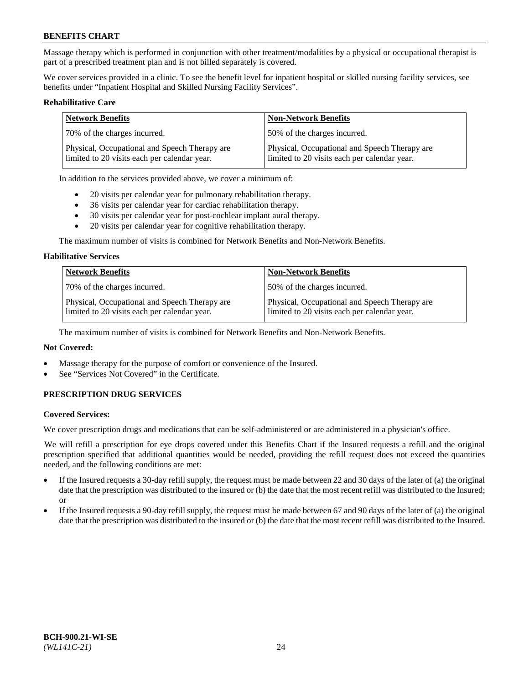Massage therapy which is performed in conjunction with other treatment/modalities by a physical or occupational therapist is part of a prescribed treatment plan and is not billed separately is covered.

We cover services provided in a clinic. To see the benefit level for inpatient hospital or skilled nursing facility services, see benefits under "Inpatient Hospital and Skilled Nursing Facility Services".

#### **Rehabilitative Care**

| <b>Network Benefits</b>                                                                       | <b>Non-Network Benefits</b>                                                                   |
|-----------------------------------------------------------------------------------------------|-----------------------------------------------------------------------------------------------|
| 70% of the charges incurred.                                                                  | 50% of the charges incurred.                                                                  |
| Physical, Occupational and Speech Therapy are<br>limited to 20 visits each per calendar year. | Physical, Occupational and Speech Therapy are<br>limited to 20 visits each per calendar year. |

In addition to the services provided above, we cover a minimum of:

- 20 visits per calendar year for pulmonary rehabilitation therapy.
- 36 visits per calendar year for cardiac rehabilitation therapy.
- 30 visits per calendar year for post-cochlear implant aural therapy.
- 20 visits per calendar year for cognitive rehabilitation therapy.

The maximum number of visits is combined for Network Benefits and Non-Network Benefits.

#### **Habilitative Services**

| <b>Network Benefits</b>                                                                       | <b>Non-Network Benefits</b>                                                                   |
|-----------------------------------------------------------------------------------------------|-----------------------------------------------------------------------------------------------|
| 70% of the charges incurred.                                                                  | 50% of the charges incurred.                                                                  |
| Physical, Occupational and Speech Therapy are<br>limited to 20 visits each per calendar year. | Physical, Occupational and Speech Therapy are<br>limited to 20 visits each per calendar year. |

The maximum number of visits is combined for Network Benefits and Non-Network Benefits.

## **Not Covered:**

- Massage therapy for the purpose of comfort or convenience of the Insured.
- See "Services Not Covered" in the Certificate.

## **PRESCRIPTION DRUG SERVICES**

#### **Covered Services:**

We cover prescription drugs and medications that can be self-administered or are administered in a physician's office.

We will refill a prescription for eye drops covered under this Benefits Chart if the Insured requests a refill and the original prescription specified that additional quantities would be needed, providing the refill request does not exceed the quantities needed, and the following conditions are met:

- If the Insured requests a 30-day refill supply, the request must be made between 22 and 30 days of the later of (a) the original date that the prescription was distributed to the insured or (b) the date that the most recent refill was distributed to the Insured; or
- If the Insured requests a 90-day refill supply, the request must be made between 67 and 90 days of the later of (a) the original date that the prescription was distributed to the insured or (b) the date that the most recent refill was distributed to the Insured.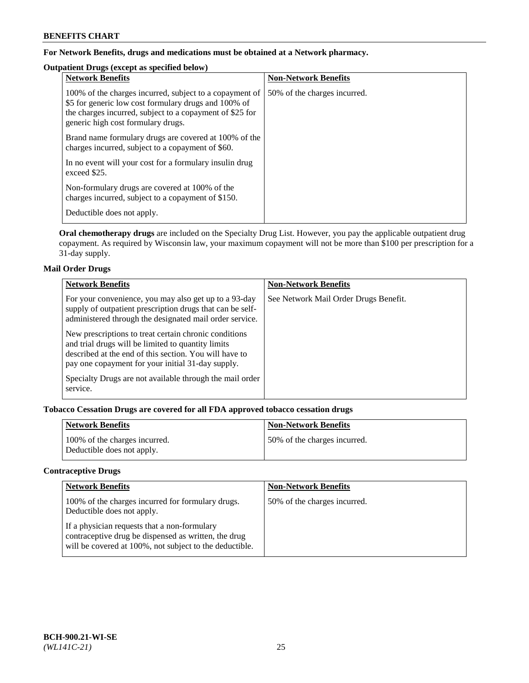## **For Network Benefits, drugs and medications must be obtained at a Network pharmacy.**

## **Outpatient Drugs (except as specified below)**

| <b>Network Benefits</b>                                                                                                                                                                                           | <b>Non-Network Benefits</b>  |
|-------------------------------------------------------------------------------------------------------------------------------------------------------------------------------------------------------------------|------------------------------|
| 100% of the charges incurred, subject to a copayment of<br>\$5 for generic low cost formulary drugs and 100% of<br>the charges incurred, subject to a copayment of \$25 for<br>generic high cost formulary drugs. | 50% of the charges incurred. |
| Brand name formulary drugs are covered at 100% of the<br>charges incurred, subject to a copayment of \$60.                                                                                                        |                              |
| In no event will your cost for a formulary insulin drug<br>exceed \$25.                                                                                                                                           |                              |
| Non-formulary drugs are covered at 100% of the<br>charges incurred, subject to a copayment of \$150.                                                                                                              |                              |
| Deductible does not apply.                                                                                                                                                                                        |                              |

**Oral chemotherapy drugs** are included on the Specialty Drug List. However, you pay the applicable outpatient drug copayment. As required by Wisconsin law, your maximum copayment will not be more than \$100 per prescription for a 31-day supply.

## **Mail Order Drugs**

| <b>Network Benefits</b>                                                                                                                                                                                                    | <b>Non-Network Benefits</b>           |
|----------------------------------------------------------------------------------------------------------------------------------------------------------------------------------------------------------------------------|---------------------------------------|
| For your convenience, you may also get up to a 93-day<br>supply of outpatient prescription drugs that can be self-<br>administered through the designated mail order service.                                              | See Network Mail Order Drugs Benefit. |
| New prescriptions to treat certain chronic conditions<br>and trial drugs will be limited to quantity limits<br>described at the end of this section. You will have to<br>pay one copayment for your initial 31-day supply. |                                       |
| Specialty Drugs are not available through the mail order<br>service.                                                                                                                                                       |                                       |

## **Tobacco Cessation Drugs are covered for all FDA approved tobacco cessation drugs**

| <b>Network Benefits</b>                                     | <b>Non-Network Benefits</b>  |
|-------------------------------------------------------------|------------------------------|
| 100% of the charges incurred.<br>Deductible does not apply. | 50% of the charges incurred. |

## **Contraceptive Drugs**

| <b>Network Benefits</b>                                                                                                                                         | <b>Non-Network Benefits</b>  |
|-----------------------------------------------------------------------------------------------------------------------------------------------------------------|------------------------------|
| 100% of the charges incurred for formulary drugs.<br>Deductible does not apply.                                                                                 | 50% of the charges incurred. |
| If a physician requests that a non-formulary<br>contraceptive drug be dispensed as written, the drug<br>will be covered at 100%, not subject to the deductible. |                              |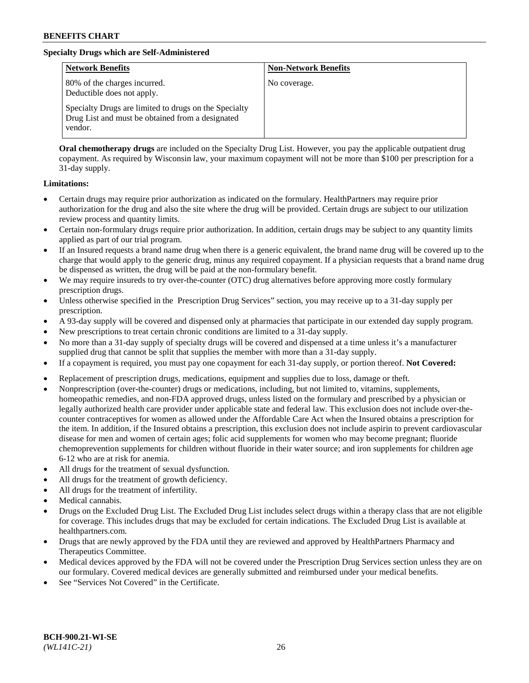## **Specialty Drugs which are Self-Administered**

| <b>Network Benefits</b>                                                                                              | <b>Non-Network Benefits</b> |
|----------------------------------------------------------------------------------------------------------------------|-----------------------------|
| 80% of the charges incurred.<br>Deductible does not apply.                                                           | No coverage.                |
| Specialty Drugs are limited to drugs on the Specialty<br>Drug List and must be obtained from a designated<br>vendor. |                             |

**Oral chemotherapy drugs** are included on the Specialty Drug List. However, you pay the applicable outpatient drug copayment. As required by Wisconsin law, your maximum copayment will not be more than \$100 per prescription for a 31-day supply.

### **Limitations:**

- Certain drugs may require prior authorization as indicated on the formulary. HealthPartners may require prior authorization for the drug and also the site where the drug will be provided. Certain drugs are subject to our utilization review process and quantity limits.
- Certain non-formulary drugs require prior authorization. In addition, certain drugs may be subject to any quantity limits applied as part of our trial program.
- If an Insured requests a brand name drug when there is a generic equivalent, the brand name drug will be covered up to the charge that would apply to the generic drug, minus any required copayment. If a physician requests that a brand name drug be dispensed as written, the drug will be paid at the non-formulary benefit.
- We may require insureds to try over-the-counter (OTC) drug alternatives before approving more costly formulary prescription drugs.
- Unless otherwise specified in the Prescription Drug Services" section, you may receive up to a 31-day supply per prescription.
- A 93-day supply will be covered and dispensed only at pharmacies that participate in our extended day supply program.
- New prescriptions to treat certain chronic conditions are limited to a 31-day supply.
- No more than a 31-day supply of specialty drugs will be covered and dispensed at a time unless it's a manufacturer supplied drug that cannot be split that supplies the member with more than a 31-day supply.
- If a copayment is required, you must pay one copayment for each 31-day supply, or portion thereof. **Not Covered:**
- Replacement of prescription drugs, medications, equipment and supplies due to loss, damage or theft.
- Nonprescription (over-the-counter) drugs or medications, including, but not limited to, vitamins, supplements, homeopathic remedies, and non-FDA approved drugs, unless listed on the formulary and prescribed by a physician or legally authorized health care provider under applicable state and federal law. This exclusion does not include over-thecounter contraceptives for women as allowed under the Affordable Care Act when the Insured obtains a prescription for the item. In addition, if the Insured obtains a prescription, this exclusion does not include aspirin to prevent cardiovascular disease for men and women of certain ages; folic acid supplements for women who may become pregnant; fluoride chemoprevention supplements for children without fluoride in their water source; and iron supplements for children age 6-12 who are at risk for anemia.
- All drugs for the treatment of sexual dysfunction.
- All drugs for the treatment of growth deficiency.
- All drugs for the treatment of infertility.
- Medical cannabis.
- Drugs on the Excluded Drug List. The Excluded Drug List includes select drugs within a therapy class that are not eligible for coverage. This includes drugs that may be excluded for certain indications. The Excluded Drug List is available at [healthpartners.com.](http://www.healthpartners.com/)
- Drugs that are newly approved by the FDA until they are reviewed and approved by HealthPartners Pharmacy and Therapeutics Committee.
- Medical devices approved by the FDA will not be covered under the Prescription Drug Services section unless they are on our formulary. Covered medical devices are generally submitted and reimbursed under your medical benefits.
- See "Services Not Covered" in the Certificate.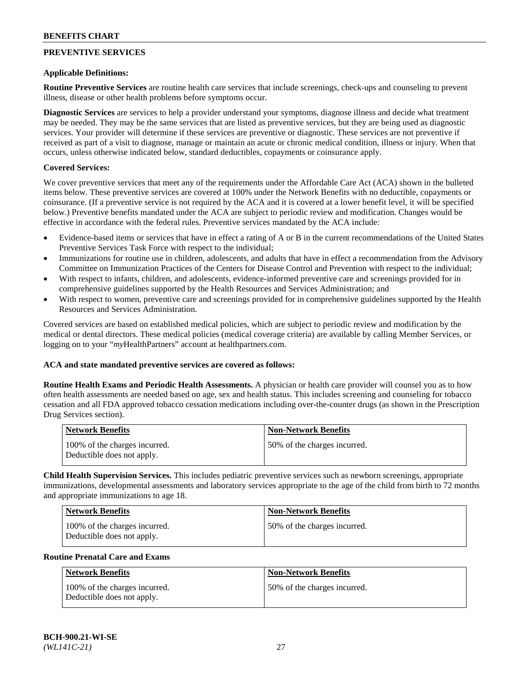## **PREVENTIVE SERVICES**

#### **Applicable Definitions:**

**Routine Preventive Services** are routine health care services that include screenings, check-ups and counseling to prevent illness, disease or other health problems before symptoms occur.

**Diagnostic Services** are services to help a provider understand your symptoms, diagnose illness and decide what treatment may be needed. They may be the same services that are listed as preventive services, but they are being used as diagnostic services. Your provider will determine if these services are preventive or diagnostic. These services are not preventive if received as part of a visit to diagnose, manage or maintain an acute or chronic medical condition, illness or injury. When that occurs, unless otherwise indicated below, standard deductibles, copayments or coinsurance apply.

### **Covered Services:**

We cover preventive services that meet any of the requirements under the Affordable Care Act (ACA) shown in the bulleted items below. These preventive services are covered at 100% under the Network Benefits with no deductible, copayments or coinsurance. (If a preventive service is not required by the ACA and it is covered at a lower benefit level, it will be specified below.) Preventive benefits mandated under the ACA are subject to periodic review and modification. Changes would be effective in accordance with the federal rules. Preventive services mandated by the ACA include:

- Evidence-based items or services that have in effect a rating of A or B in the current recommendations of the United States Preventive Services Task Force with respect to the individual;
- Immunizations for routine use in children, adolescents, and adults that have in effect a recommendation from the Advisory Committee on Immunization Practices of the Centers for Disease Control and Prevention with respect to the individual;
- With respect to infants, children, and adolescents, evidence-informed preventive care and screenings provided for in comprehensive guidelines supported by the Health Resources and Services Administration; and
- With respect to women, preventive care and screenings provided for in comprehensive guidelines supported by the Health Resources and Services Administration.

Covered services are based on established medical policies, which are subject to periodic review and modification by the medical or dental directors. These medical policies (medical coverage criteria) are available by calling Member Services, or logging on to your "*my*HealthPartners" account at [healthpartners.com.](https://www.healthpartners.com/hp/index.html)

#### **ACA and state mandated preventive services are covered as follows:**

**Routine Health Exams and Periodic Health Assessments.** A physician or health care provider will counsel you as to how often health assessments are needed based on age, sex and health status. This includes screening and counseling for tobacco cessation and all FDA approved tobacco cessation medications including over-the-counter drugs (as shown in the Prescription Drug Services section).

| Network Benefits                                            | <b>Non-Network Benefits</b>  |
|-------------------------------------------------------------|------------------------------|
| 100% of the charges incurred.<br>Deductible does not apply. | 50% of the charges incurred. |

**Child Health Supervision Services.** This includes pediatric preventive services such as newborn screenings, appropriate immunizations, developmental assessments and laboratory services appropriate to the age of the child from birth to 72 months and appropriate immunizations to age 18.

| Network Benefits                                            | <b>Non-Network Benefits</b>  |
|-------------------------------------------------------------|------------------------------|
| 100% of the charges incurred.<br>Deductible does not apply. | 50% of the charges incurred. |

#### **Routine Prenatal Care and Exams**

| Network Benefits                                            | <b>Non-Network Benefits</b>  |
|-------------------------------------------------------------|------------------------------|
| 100% of the charges incurred.<br>Deductible does not apply. | 50% of the charges incurred. |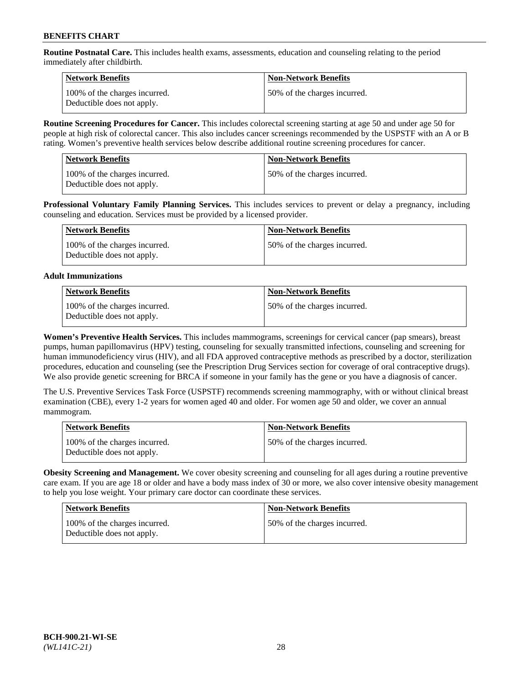**Routine Postnatal Care.** This includes health exams, assessments, education and counseling relating to the period immediately after childbirth.

| Network Benefits                                            | <b>Non-Network Benefits</b>  |
|-------------------------------------------------------------|------------------------------|
| 100% of the charges incurred.<br>Deductible does not apply. | 50% of the charges incurred. |

**Routine Screening Procedures for Cancer.** This includes colorectal screening starting at age 50 and under age 50 for people at high risk of colorectal cancer. This also includes cancer screenings recommended by the USPSTF with an A or B rating. Women's preventive health services below describe additional routine screening procedures for cancer.

| <b>Network Benefits</b>                                     | Non-Network Benefits         |
|-------------------------------------------------------------|------------------------------|
| 100% of the charges incurred.<br>Deductible does not apply. | 50% of the charges incurred. |

**Professional Voluntary Family Planning Services.** This includes services to prevent or delay a pregnancy, including counseling and education. Services must be provided by a licensed provider.

| Network Benefits                                            | <b>Non-Network Benefits</b>  |
|-------------------------------------------------------------|------------------------------|
| 100% of the charges incurred.<br>Deductible does not apply. | 50% of the charges incurred. |

## **Adult Immunizations**

| Network Benefits                                            | Non-Network Benefits         |
|-------------------------------------------------------------|------------------------------|
| 100% of the charges incurred.<br>Deductible does not apply. | 50% of the charges incurred. |

**Women's Preventive Health Services.** This includes mammograms, screenings for cervical cancer (pap smears), breast pumps, human papillomavirus (HPV) testing, counseling for sexually transmitted infections, counseling and screening for human immunodeficiency virus (HIV), and all FDA approved contraceptive methods as prescribed by a doctor, sterilization procedures, education and counseling (see the Prescription Drug Services section for coverage of oral contraceptive drugs). We also provide genetic screening for BRCA if someone in your family has the gene or you have a diagnosis of cancer.

The U.S. Preventive Services Task Force (USPSTF) recommends screening mammography, with or without clinical breast examination (CBE), every 1-2 years for women aged 40 and older. For women age 50 and older, we cover an annual mammogram.

| <b>Network Benefits</b>                                     | <b>Non-Network Benefits</b>  |
|-------------------------------------------------------------|------------------------------|
| 100% of the charges incurred.<br>Deductible does not apply. | 50% of the charges incurred. |

**Obesity Screening and Management.** We cover obesity screening and counseling for all ages during a routine preventive care exam. If you are age 18 or older and have a body mass index of 30 or more, we also cover intensive obesity management to help you lose weight. Your primary care doctor can coordinate these services.

| <b>Network Benefits</b>                                     | <b>Non-Network Benefits</b>  |
|-------------------------------------------------------------|------------------------------|
| 100% of the charges incurred.<br>Deductible does not apply. | 50% of the charges incurred. |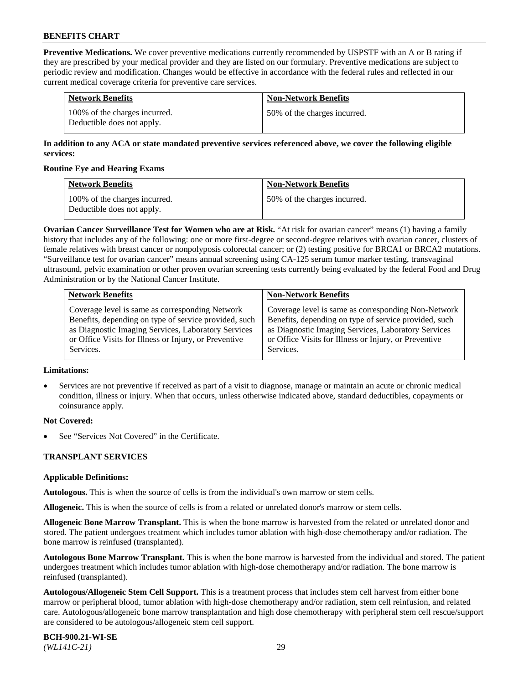**Preventive Medications.** We cover preventive medications currently recommended by USPSTF with an A or B rating if they are prescribed by your medical provider and they are listed on our formulary. Preventive medications are subject to periodic review and modification. Changes would be effective in accordance with the federal rules and reflected in our current medical coverage criteria for preventive care services.

| <b>Network Benefits</b>                                     | <b>Non-Network Benefits</b>  |
|-------------------------------------------------------------|------------------------------|
| 100% of the charges incurred.<br>Deductible does not apply. | 50% of the charges incurred. |

## **In addition to any ACA or state mandated preventive services referenced above, we cover the following eligible services:**

### **Routine Eye and Hearing Exams**

| <b>Network Benefits</b>                                     | <b>Non-Network Benefits</b>  |
|-------------------------------------------------------------|------------------------------|
| 100% of the charges incurred.<br>Deductible does not apply. | 50% of the charges incurred. |

**Ovarian Cancer Surveillance Test for Women who are at Risk.** "At risk for ovarian cancer" means (1) having a family history that includes any of the following: one or more first-degree or second-degree relatives with ovarian cancer, clusters of female relatives with breast cancer or nonpolyposis colorectal cancer; or (2) testing positive for BRCA1 or BRCA2 mutations. "Surveillance test for ovarian cancer" means annual screening using CA-125 serum tumor marker testing, transvaginal ultrasound, pelvic examination or other proven ovarian screening tests currently being evaluated by the federal Food and Drug Administration or by the National Cancer Institute.

| <b>Network Benefits</b>                               | <b>Non-Network Benefits</b>                           |
|-------------------------------------------------------|-------------------------------------------------------|
| Coverage level is same as corresponding Network       | Coverage level is same as corresponding Non-Network   |
| Benefits, depending on type of service provided, such | Benefits, depending on type of service provided, such |
| as Diagnostic Imaging Services, Laboratory Services   | as Diagnostic Imaging Services, Laboratory Services   |
| or Office Visits for Illness or Injury, or Preventive | or Office Visits for Illness or Injury, or Preventive |
| Services.                                             | Services.                                             |

#### **Limitations:**

• Services are not preventive if received as part of a visit to diagnose, manage or maintain an acute or chronic medical condition, illness or injury. When that occurs, unless otherwise indicated above, standard deductibles, copayments or coinsurance apply.

## **Not Covered:**

See "Services Not Covered" in the Certificate.

## **TRANSPLANT SERVICES**

## **Applicable Definitions:**

**Autologous.** This is when the source of cells is from the individual's own marrow or stem cells.

**Allogeneic.** This is when the source of cells is from a related or unrelated donor's marrow or stem cells.

**Allogeneic Bone Marrow Transplant.** This is when the bone marrow is harvested from the related or unrelated donor and stored. The patient undergoes treatment which includes tumor ablation with high-dose chemotherapy and/or radiation. The bone marrow is reinfused (transplanted).

**Autologous Bone Marrow Transplant.** This is when the bone marrow is harvested from the individual and stored. The patient undergoes treatment which includes tumor ablation with high-dose chemotherapy and/or radiation. The bone marrow is reinfused (transplanted).

**Autologous/Allogeneic Stem Cell Support.** This is a treatment process that includes stem cell harvest from either bone marrow or peripheral blood, tumor ablation with high-dose chemotherapy and/or radiation, stem cell reinfusion, and related care. Autologous/allogeneic bone marrow transplantation and high dose chemotherapy with peripheral stem cell rescue/support are considered to be autologous/allogeneic stem cell support.

**BCH-900.21-WI-SE**  *(WL141C-21)* 29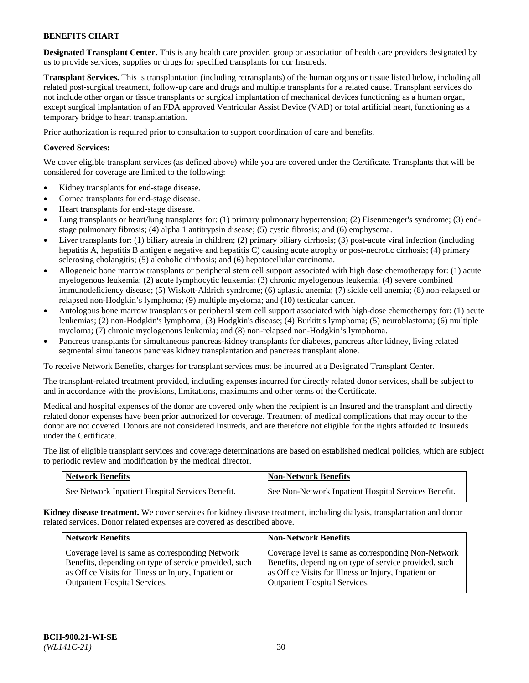**Designated Transplant Center.** This is any health care provider, group or association of health care providers designated by us to provide services, supplies or drugs for specified transplants for our Insureds.

**Transplant Services.** This is transplantation (including retransplants) of the human organs or tissue listed below, including all related post-surgical treatment, follow-up care and drugs and multiple transplants for a related cause. Transplant services do not include other organ or tissue transplants or surgical implantation of mechanical devices functioning as a human organ, except surgical implantation of an FDA approved Ventricular Assist Device (VAD) or total artificial heart, functioning as a temporary bridge to heart transplantation.

Prior authorization is required prior to consultation to support coordination of care and benefits.

## **Covered Services:**

We cover eligible transplant services (as defined above) while you are covered under the Certificate. Transplants that will be considered for coverage are limited to the following:

- Kidney transplants for end-stage disease.
- Cornea transplants for end-stage disease.
- Heart transplants for end-stage disease.
- Lung transplants or heart/lung transplants for: (1) primary pulmonary hypertension; (2) Eisenmenger's syndrome; (3) endstage pulmonary fibrosis; (4) alpha 1 antitrypsin disease; (5) cystic fibrosis; and (6) emphysema.
- Liver transplants for: (1) biliary atresia in children; (2) primary biliary cirrhosis; (3) post-acute viral infection (including hepatitis A, hepatitis B antigen e negative and hepatitis C) causing acute atrophy or post-necrotic cirrhosis; (4) primary sclerosing cholangitis; (5) alcoholic cirrhosis; and (6) hepatocellular carcinoma.
- Allogeneic bone marrow transplants or peripheral stem cell support associated with high dose chemotherapy for: (1) acute myelogenous leukemia; (2) acute lymphocytic leukemia; (3) chronic myelogenous leukemia; (4) severe combined immunodeficiency disease; (5) Wiskott-Aldrich syndrome; (6) aplastic anemia; (7) sickle cell anemia; (8) non-relapsed or relapsed non-Hodgkin's lymphoma; (9) multiple myeloma; and (10) testicular cancer.
- Autologous bone marrow transplants or peripheral stem cell support associated with high-dose chemotherapy for: (1) acute leukemias; (2) non-Hodgkin's lymphoma; (3) Hodgkin's disease; (4) Burkitt's lymphoma; (5) neuroblastoma; (6) multiple myeloma; (7) chronic myelogenous leukemia; and (8) non-relapsed non-Hodgkin's lymphoma.
- Pancreas transplants for simultaneous pancreas-kidney transplants for diabetes, pancreas after kidney, living related segmental simultaneous pancreas kidney transplantation and pancreas transplant alone.

To receive Network Benefits, charges for transplant services must be incurred at a Designated Transplant Center.

The transplant-related treatment provided, including expenses incurred for directly related donor services, shall be subject to and in accordance with the provisions, limitations, maximums and other terms of the Certificate.

Medical and hospital expenses of the donor are covered only when the recipient is an Insured and the transplant and directly related donor expenses have been prior authorized for coverage. Treatment of medical complications that may occur to the donor are not covered. Donors are not considered Insureds, and are therefore not eligible for the rights afforded to Insureds under the Certificate.

The list of eligible transplant services and coverage determinations are based on established medical policies, which are subject to periodic review and modification by the medical director.

| <b>Network Benefits</b>                          | Non-Network Benefits                                 |
|--------------------------------------------------|------------------------------------------------------|
| See Network Inpatient Hospital Services Benefit. | See Non-Network Inpatient Hospital Services Benefit. |

**Kidney disease treatment.** We cover services for kidney disease treatment, including dialysis, transplantation and donor related services. Donor related expenses are covered as described above.

| <b>Network Benefits</b>                                                                                  | <b>Non-Network Benefits</b>                                                                                  |
|----------------------------------------------------------------------------------------------------------|--------------------------------------------------------------------------------------------------------------|
| Coverage level is same as corresponding Network<br>Benefits, depending on type of service provided, such | Coverage level is same as corresponding Non-Network<br>Benefits, depending on type of service provided, such |
| as Office Visits for Illness or Injury, Inpatient or                                                     | as Office Visits for Illness or Injury, Inpatient or                                                         |
| <b>Outpatient Hospital Services.</b>                                                                     | <b>Outpatient Hospital Services.</b>                                                                         |